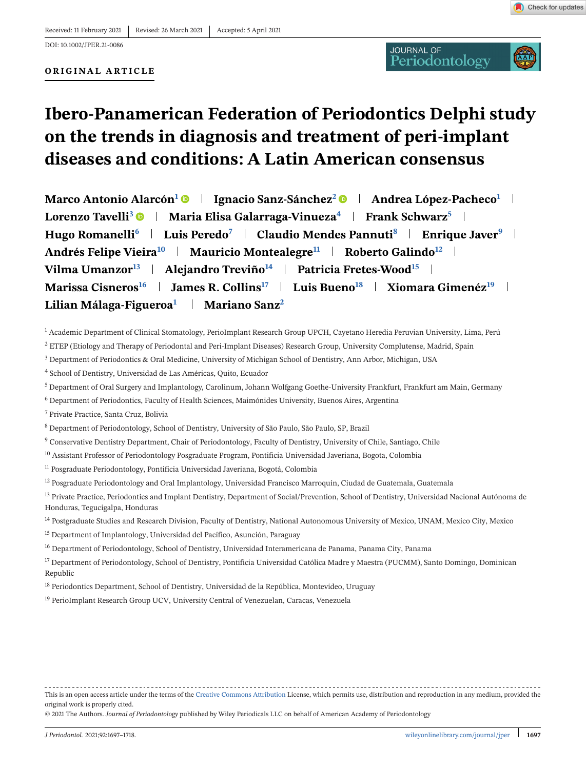#### **ORIGINAL ARTICLE**



# **Ibero-Panamerican Federation of Periodontics Delphi study on the trends in diagnosis and treatment of peri-implant diseases and conditions: A Latin American consensus**

**Marco Antonio Alarcón<sup>1</sup> Ignacio Sanz-Sánchez<sup>2</sup> Andrea López-Pacheco<sup>1</sup> Lorenzo Tavelli<sup>3</sup> • | Maria Elisa Galarraga-Vinueza<sup>4</sup> | Frank Schwarz<sup>5</sup> | Hugo Romanelli<sup>6</sup> Luis Peredo<sup>7</sup> Claudio Mendes Pannuti<sup>8</sup> Enrique Javer<sup>9</sup> Andrés Felipe Vieira<sup>10</sup> | Mauricio Montealegre<sup>11</sup> | Roberto Galindo<sup>12</sup> | Vilma Umanzor**<sup>13</sup> **Alejandro Treviño**<sup>14</sup> **Patricia Fretes-Wood**<sup>15</sup> **a Marissa Cisneros<sup>16</sup> James R. Collins17 Luis Bueno<sup>18</sup> Xiomara Gimenéz<sup>19</sup> Lilian Málaga-Figueroa1 Mariano Sanz<sup>2</sup>**

 $1$  Academic Department of Clinical Stomatology, PerioImplant Research Group UPCH, Cayetano Heredia Peruvian University, Lima, Perú

<sup>2</sup> ETEP (Etiology and Therapy of Periodontal and Peri-Implant Diseases) Research Group, University Complutense, Madrid, Spain

- <sup>3</sup> Department of Periodontics & Oral Medicine, University of Michigan School of Dentistry, Ann Arbor, Michigan, USA
- <sup>4</sup> School of Dentistry, Universidad de Las Américas, Quito, Ecuador
- <sup>5</sup> Department of Oral Surgery and Implantology, Carolinum, Johann Wolfgang Goethe-University Frankfurt, Frankfurt am Main, Germany
- <sup>6</sup> Department of Periodontics, Faculty of Health Sciences, Maimónides University, Buenos Aires, Argentina
- <sup>7</sup> Private Practice, Santa Cruz, Bolivia
- <sup>8</sup> Department of Periodontology, School of Dentistry, University of São Paulo, São Paulo, SP, Brazil
- <sup>9</sup> Conservative Dentistry Department, Chair of Periodontology, Faculty of Dentistry, University of Chile, Santiago, Chile
- <sup>10</sup> Assistant Professor of Periodontology Posgraduate Program, Pontificia Universidad Javeriana, Bogota, Colombia
- <sup>11</sup> Posgraduate Periodontology, Pontificia Universidad Javeriana, Bogotá, Colombia
- <sup>12</sup> Posgraduate Periodontology and Oral Implantology, Universidad Francisco Marroquín, Ciudad de Guatemala, Guatemala
- <sup>13</sup> Private Practice, Periodontics and Implant Dentistry, Department of Social/Prevention, School of Dentistry, Universidad Nacional Autónoma de Honduras, Tegucigalpa, Honduras
- <sup>14</sup> Postgraduate Studies and Research Division, Faculty of Dentistry, National Autonomous University of Mexico, UNAM, Mexico City, Mexico
- <sup>15</sup> Department of Implantology, Universidad del Pacífico, Asunción, Paraguay
- <sup>16</sup> Department of Periodontology, School of Dentistry, Universidad Interamericana de Panama, Panama City, Panama
- <sup>17</sup> Department of Periodontology, School of Dentistry, Pontificia Universidad Católica Madre y Maestra (PUCMM), Santo Domingo, Dominican Republic
- <sup>18</sup> Periodontics Department, School of Dentistry, Universidad de la República, Montevideo, Uruguay
- <sup>19</sup> PerioImplant Research Group UCV, University Central of Venezuelan, Caracas, Venezuela

This is an open access article under the terms of the [Creative Commons Attribution](http://creativecommons.org/licenses/by/4.0/) License, which permits use, distribution and reproduction in any medium, provided the original work is properly cited.

© 2021 The Authors. *Journal of Periodontology* published by Wiley Periodicals LLC on behalf of American Academy of Periodontology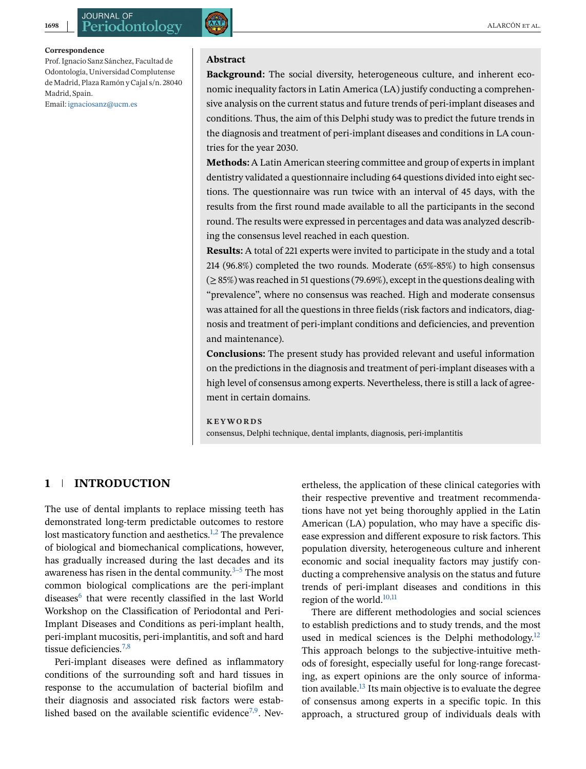#### **Correspondence**

Prof. Ignacio Sanz Sánchez, Facultad de Odontología, Universidad Complutense de Madrid, Plaza Ramón y Cajal s/n. 28040 Madrid, Spain.

Email: [ignaciosanz@ucm.es](mailto:ignaciosanz@ucm.es)



## **Abstract**

**Background:** The social diversity, heterogeneous culture, and inherent economic inequality factors in Latin America (LA) justify conducting a comprehensive analysis on the current status and future trends of peri-implant diseases and conditions. Thus, the aim of this Delphi study was to predict the future trends in the diagnosis and treatment of peri-implant diseases and conditions in LA countries for the year 2030.

**Methods:** A Latin American steering committee and group of experts in implant dentistry validated a questionnaire including 64 questions divided into eight sections. The questionnaire was run twice with an interval of 45 days, with the results from the first round made available to all the participants in the second round. The results were expressed in percentages and data was analyzed describing the consensus level reached in each question.

**Results:** A total of 221 experts were invited to participate in the study and a total 214 (96.8%) completed the two rounds. Moderate (65%-85%) to high consensus  $(≥85%)$  was reached in 51 questions (79.69%), except in the questions dealing with "prevalence", where no consensus was reached. High and moderate consensus was attained for all the questions in three fields (risk factors and indicators, diagnosis and treatment of peri-implant conditions and deficiencies, and prevention and maintenance).

**Conclusions:** The present study has provided relevant and useful information on the predictions in the diagnosis and treatment of peri-implant diseases with a high level of consensus among experts. Nevertheless, there is still a lack of agreement in certain domains.

#### **KEYWORDS**

consensus, Delphi technique, dental implants, diagnosis, peri-implantitis

#### **1 INTRODUCTION**

The use of dental implants to replace missing teeth has demonstrated long-term predictable outcomes to restore lost masticatory function and aesthetics.<sup>[1,2](#page-19-0)</sup> The prevalence of biological and biomechanical complications, however, has gradually increased during the last decades and its awareness has risen in the dental community. $3-5$  The most common biological complications are the peri-implant diseases<sup>6</sup> that were recently classified in the last World Workshop on the Classification of Periodontal and Peri-Implant Diseases and Conditions as peri-implant health, peri-implant mucositis, peri-implantitis, and soft and hard tissue deficiencies.<sup>7,8</sup>

Peri-implant diseases were defined as inflammatory conditions of the surrounding soft and hard tissues in response to the accumulation of bacterial biofilm and their diagnosis and associated risk factors were established based on the available scientific evidence<sup>7,9</sup>. Nevertheless, the application of these clinical categories with their respective preventive and treatment recommendations have not yet being thoroughly applied in the Latin American (LA) population, who may have a specific disease expression and different exposure to risk factors. This population diversity, heterogeneous culture and inherent economic and social inequality factors may justify conducting a comprehensive analysis on the status and future trends of peri-implant diseases and conditions in this region of the world.<sup>10,11</sup>

There are different methodologies and social sciences to establish predictions and to study trends, and the most used in medical sciences is the Delphi methodology.<sup>12</sup> This approach belongs to the subjective-intuitive methods of foresight, especially useful for long-range forecasting, as expert opinions are the only source of information available.<sup>13</sup> Its main objective is to evaluate the degree of consensus among experts in a specific topic. In this approach, a structured group of individuals deals with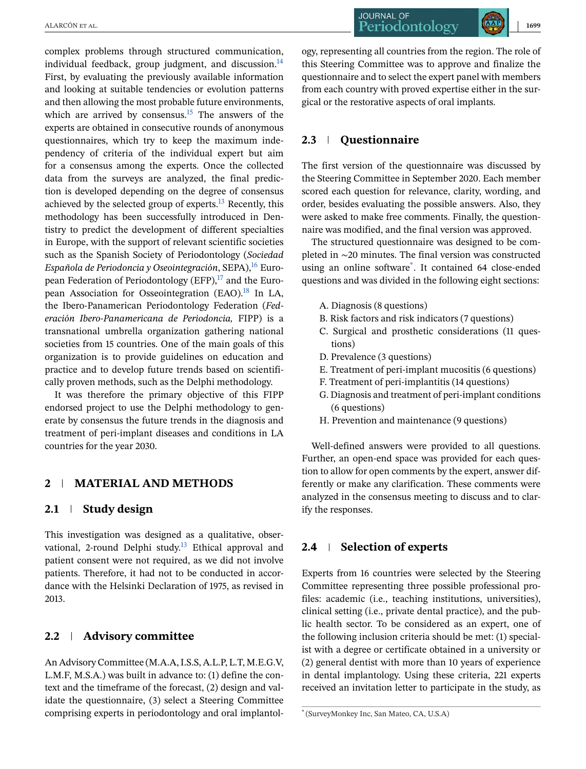complex problems through structured communication, individual feedback, group judgment, and discussion. $^{14}$ First, by evaluating the previously available information and looking at suitable tendencies or evolution patterns and then allowing the most probable future environments, which are arrived by consensus.<sup>15</sup> The answers of the experts are obtained in consecutive rounds of anonymous questionnaires, which try to keep the maximum independency of criteria of the individual expert but aim for a consensus among the experts. Once the collected data from the surveys are analyzed, the final prediction is developed depending on the degree of consensus achieved by the selected group of experts. $^{13}$  Recently, this methodology has been successfully introduced in Dentistry to predict the development of different specialties in Europe, with the support of relevant scientific societies such as the Spanish Society of Periodontology (*Sociedad Española de Periodoncia y Oseointegración*, SEPA), <sup>[16](#page-20-0)</sup> European Federation of Periodontology (EFP), $^{17}$  and the European Association for Osseointegration (EAO).<sup>18</sup> In LA, the Ibero-Panamerican Periodontology Federation (*Federación Ibero-Panamericana de Periodoncia,* FIPP) is a transnational umbrella organization gathering national societies from 15 countries. One of the main goals of this organization is to provide guidelines on education and practice and to develop future trends based on scientifically proven methods, such as the Delphi methodology.

It was therefore the primary objective of this FIPP endorsed project to use the Delphi methodology to generate by consensus the future trends in the diagnosis and treatment of peri-implant diseases and conditions in LA countries for the year 2030.

### **2 MATERIAL AND METHODS**

#### **2.1 Study design**

This investigation was designed as a qualitative, observational, 2-round Delphi study.<sup>13</sup> Ethical approval and patient consent were not required, as we did not involve patients. Therefore, it had not to be conducted in accordance with the Helsinki Declaration of 1975, as revised in 2013.

## **2.2 Advisory committee**

An Advisory Committee (M.A.A, I.S.S, A.L.P, L.T, M.E.G.V, L.M.F, M.S.A.) was built in advance to: (1) define the context and the timeframe of the forecast, (2) design and validate the questionnaire, (3) select a Steering Committee comprising experts in periodontology and oral implantol-

**JOURNAL OF** ALARCÓN ET AL. **1699** | 1699

ogy, representing all countries from the region. The role of this Steering Committee was to approve and finalize the questionnaire and to select the expert panel with members from each country with proved expertise either in the surgical or the restorative aspects of oral implants.

## **2.3 Questionnaire**

The first version of the questionnaire was discussed by the Steering Committee in September 2020. Each member scored each question for relevance, clarity, wording, and order, besides evaluating the possible answers. Also, they were asked to make free comments. Finally, the questionnaire was modified, and the final version was approved.

The structured questionnaire was designed to be completed in ∼20 minutes. The final version was constructed using an online software\* . It contained 64 close-ended questions and was divided in the following eight sections:

- A. Diagnosis (8 questions)
- B. Risk factors and risk indicators (7 questions)
- C. Surgical and prosthetic considerations (11 questions)
- D. Prevalence (3 questions)
- E. Treatment of peri-implant mucositis (6 questions)
- F. Treatment of peri-implantitis (14 questions)
- G. Diagnosis and treatment of peri-implant conditions (6 questions)
- H. Prevention and maintenance (9 questions)

Well-defined answers were provided to all questions. Further, an open-end space was provided for each question to allow for open comments by the expert, answer differently or make any clarification. These comments were analyzed in the consensus meeting to discuss and to clarify the responses.

## **2.4 Selection of experts**

Experts from 16 countries were selected by the Steering Committee representing three possible professional profiles: academic (i.e., teaching institutions, universities), clinical setting (i.e., private dental practice), and the public health sector. To be considered as an expert, one of the following inclusion criteria should be met: (1) specialist with a degree or certificate obtained in a university or (2) general dentist with more than 10 years of experience in dental implantology. Using these criteria, 221 experts received an invitation letter to participate in the study, as

<sup>\*</sup> (SurveyMonkey Inc, San Mateo, CA, U.S.A)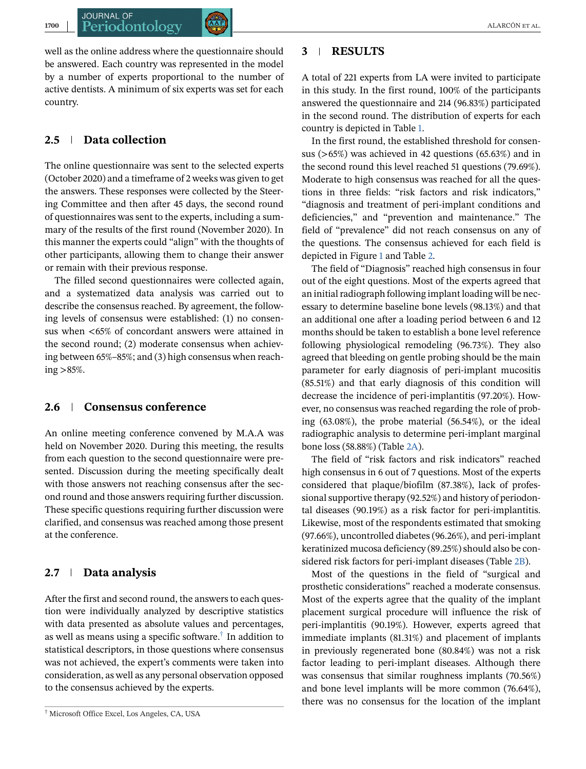well as the online address where the questionnaire should be answered. Each country was represented in the model by a number of experts proportional to the number of active dentists. A minimum of six experts was set for each country.

## **2.5 Data collection**

**JOURNAL OF** 

The online questionnaire was sent to the selected experts (October 2020) and a timeframe of 2 weeks was given to get the answers. These responses were collected by the Steering Committee and then after 45 days, the second round of questionnaires was sent to the experts, including a summary of the results of the first round (November 2020). In this manner the experts could "align" with the thoughts of other participants, allowing them to change their answer or remain with their previous response.

The filled second questionnaires were collected again, and a systematized data analysis was carried out to describe the consensus reached. By agreement, the following levels of consensus were established: (1) no consensus when <65% of concordant answers were attained in the second round; (2) moderate consensus when achieving between 65%–85%; and (3) high consensus when reaching >85%.

#### **2.6 Consensus conference**

An online meeting conference convened by M.A.A was held on November 2020. During this meeting, the results from each question to the second questionnaire were presented. Discussion during the meeting specifically dealt with those answers not reaching consensus after the second round and those answers requiring further discussion. These specific questions requiring further discussion were clarified, and consensus was reached among those present at the conference.

#### **2.7 Data analysis**

After the first and second round, the answers to each question were individually analyzed by descriptive statistics with data presented as absolute values and percentages, as well as means using a specific software.† In addition to statistical descriptors, in those questions where consensus was not achieved, the expert's comments were taken into consideration, as well as any personal observation opposed to the consensus achieved by the experts.

#### **3 RESULTS**

A total of 221 experts from LA were invited to participate in this study. In the first round, 100% of the participants answered the questionnaire and 214 (96.83%) participated in the second round. The distribution of experts for each country is depicted in Table [1.](#page-4-0)

In the first round, the established threshold for consensus  $(>65%)$  was achieved in 42 questions  $(65.63%)$  and in the second round this level reached 51 questions (79.69%). Moderate to high consensus was reached for all the questions in three fields: "risk factors and risk indicators," "diagnosis and treatment of peri-implant conditions and deficiencies," and "prevention and maintenance." The field of "prevalence" did not reach consensus on any of the questions. The consensus achieved for each field is depicted in Figure [1](#page-16-0) and Table [2.](#page-6-0)

The field of "Diagnosis" reached high consensus in four out of the eight questions. Most of the experts agreed that an initial radiograph following implant loading will be necessary to determine baseline bone levels (98.13%) and that an additional one after a loading period between 6 and 12 months should be taken to establish a bone level reference following physiological remodeling (96.73%). They also agreed that bleeding on gentle probing should be the main parameter for early diagnosis of peri-implant mucositis (85.51%) and that early diagnosis of this condition will decrease the incidence of peri-implantitis (97.20%). However, no consensus was reached regarding the role of probing (63.08%), the probe material (56.54%), or the ideal radiographic analysis to determine peri-implant marginal bone loss (58.88%) (Table [2A\)](#page-6-0).

The field of "risk factors and risk indicators" reached high consensus in 6 out of 7 questions. Most of the experts considered that plaque/biofilm (87.38%), lack of professional supportive therapy (92.52%) and history of periodontal diseases (90.19%) as a risk factor for peri-implantitis. Likewise, most of the respondents estimated that smoking (97.66%), uncontrolled diabetes (96.26%), and peri-implant keratinized mucosa deficiency (89.25%) should also be considered risk factors for peri-implant diseases (Table [2B\)](#page-6-0).

Most of the questions in the field of "surgical and prosthetic considerations" reached a moderate consensus. Most of the experts agree that the quality of the implant placement surgical procedure will influence the risk of peri-implantitis (90.19%). However, experts agreed that immediate implants (81.31%) and placement of implants in previously regenerated bone (80.84%) was not a risk factor leading to peri-implant diseases. Although there was consensus that similar roughness implants (70.56%) and bone level implants will be more common (76.64%), there was no consensus for the location of the implant

<sup>†</sup> Microsoft Office Excel, Los Angeles, CA, USA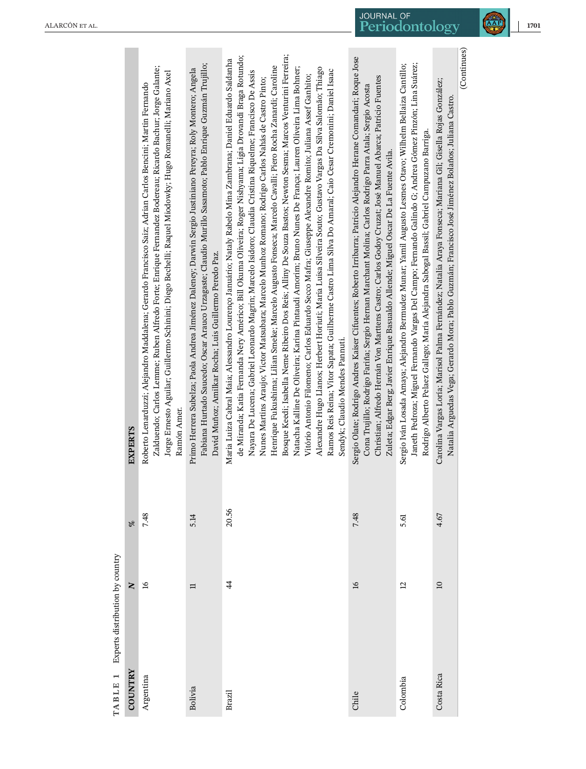<span id="page-4-0"></span>

|                                 | <b>EXPERTS</b> | Zalduendo; Carlos Lemme; Ruben Alfredo Forte; Enrique Fernandez Bodereau; Ricardo Bachur; Jorge Galante;<br>Jorge Ernesto Aguilar; Guillermo Schinini; Diego Bechelli; Raquel Miodowky; Hugo Romanelli; Mariano Axel<br>Roberto Lenarduzzi; Alejandro Maddalena; Gerardo Francisco Saiz; Adrian Carlos Bencini; Martin Fernando<br>Ramón Amer. | Fabiana Hurtado Saucedo; Oscar Arauco Urzagaste; Claudio Murillo Sasamoto; Pablo Enrique Guzmán Trujillo;<br>Primo Herrera Subelza; Paola Andrea Jiménez Daleney; Darwin Sergio Justiniano Pereyra; Roly Montero; Angela<br>David Muñoz; Amilkar Rocha; Luis Guillermo Peredo Paz. | Bosque Keedi; Isabella Neme Ribeiro Dos Reis; Alliny De Souza Bastos; Newton Sesma; Marcos Venturini Ferreira;<br>de Miranda; Katia Fernanda Nery Américo; Bill Okuma Oliveira; Roger Nishyama; Ligia Drovandi Braga Rotundo;<br>Maria Luiza Cabral Maia; Alessandro Lourenco Januário; Nataly Rabelo Mina Zambrana; Daniel Eduardo Saldanha<br>Henrique Fukushima; Lilian Smeke; Marcelo Augusto Fonseca; Marcelo Cavalli; Piero Rocha Zanardi; Caroline<br>Natacha Kalline De Oliveira; Karina Pintaudi Amorim; Bruno Nunes De França; Lauren Oliveira Lima Bohner;<br>Alexandre Hugo Llanos; Herbert Horiuti; Maria Luisa Silveira Souto; Gustavo Vargas Da Silva Salomão; Thiago<br>Ramos Reis Reina; Vitor Sapata; Guilherme Castro Lima Silva Do Amaral; Caio Cesar Cremonini; Daniel Isaac<br>Nayara De Lucena; Gabriel Leonardo Magrin; Marcelo Isidoro; Claudia Cristina Riquelme; Francisco De Assis<br>Vitório Antonio Filomeno; Carlos Eduardo Secco Mafra; Giuseppe Alexandre Romito; Juliana Assef Ganhito;<br>Nunes Martins Araujo; Victor Matsubara; Marcelo Munhoz Romano; Rodrigo Carlos Nahás de Castro Pinto;<br>Sendyk; Claudio Mendes Pannuti. | Sergio Olate; Rodrigo Andres Kaiser Cifuentes; Roberto Irribarra; Patricio Alejandro Herane Comandari; Roque Jose<br>Christian; Alfredo Hernán Von Marttens Castro; Carlos Godoy Cruzat; José Manuel Abarca; Patricio Fuentes<br>Cona Trujillo; Rodrigo Fariña; Sergio Hernan Marchant Molina; Carlos Rodrigo Parra Atala; Sergio Acosta<br>Zuleta; Edgar Berg; Javier Enrique Basualdo Allende; Miguel Oscar De La Fuente Avila. | Janeth Pedroza; Miguel Fernando Vargas Del Campo; Fernando Galindo G; Andrea Gómez Pinzón; Lina Suárez;<br>Sergio Iván Losada Amaya; Alejandro Bermudez Munar; Yamil Augusto Lesmes Otavo; Wilhelm Bellaiza Cantillo;<br>Rodrigo Alberto Pelaez Gallego; María Alejandra Sabogal Bassil; Gabriel Campuzano Barriga. | Carolina Vargas Loría; Marisol Palma Fernández; Natalia Araya Fonseca; Mariana Gil; Gisella Rojas González;<br>Natalia Arguedas Vega; Gerardo Mora; Pablo Guzmán; Francisco José Jiménez Bolaños; Juliana Castro. | (Continues) |
|---------------------------------|----------------|------------------------------------------------------------------------------------------------------------------------------------------------------------------------------------------------------------------------------------------------------------------------------------------------------------------------------------------------|------------------------------------------------------------------------------------------------------------------------------------------------------------------------------------------------------------------------------------------------------------------------------------|----------------------------------------------------------------------------------------------------------------------------------------------------------------------------------------------------------------------------------------------------------------------------------------------------------------------------------------------------------------------------------------------------------------------------------------------------------------------------------------------------------------------------------------------------------------------------------------------------------------------------------------------------------------------------------------------------------------------------------------------------------------------------------------------------------------------------------------------------------------------------------------------------------------------------------------------------------------------------------------------------------------------------------------------------------------------------------------------------------------------------------------------------------------------|-----------------------------------------------------------------------------------------------------------------------------------------------------------------------------------------------------------------------------------------------------------------------------------------------------------------------------------------------------------------------------------------------------------------------------------|---------------------------------------------------------------------------------------------------------------------------------------------------------------------------------------------------------------------------------------------------------------------------------------------------------------------|-------------------------------------------------------------------------------------------------------------------------------------------------------------------------------------------------------------------|-------------|
|                                 | De             | 7.48                                                                                                                                                                                                                                                                                                                                           | 5.14                                                                                                                                                                                                                                                                               | 20.56                                                                                                                                                                                                                                                                                                                                                                                                                                                                                                                                                                                                                                                                                                                                                                                                                                                                                                                                                                                                                                                                                                                                                                | 7.48                                                                                                                                                                                                                                                                                                                                                                                                                              | 5.61                                                                                                                                                                                                                                                                                                                | 4.67                                                                                                                                                                                                              |             |
| Experts distribution by country | $\mathbf{z}$   | $\frac{8}{1}$                                                                                                                                                                                                                                                                                                                                  | $\Box$                                                                                                                                                                                                                                                                             | $\ddot{4}$                                                                                                                                                                                                                                                                                                                                                                                                                                                                                                                                                                                                                                                                                                                                                                                                                                                                                                                                                                                                                                                                                                                                                           | $\overline{16}$                                                                                                                                                                                                                                                                                                                                                                                                                   | $\overline{c}$                                                                                                                                                                                                                                                                                                      | $\overline{10}$                                                                                                                                                                                                   |             |
| TABLE 1                         | COUNTRY        | Argentina                                                                                                                                                                                                                                                                                                                                      | Bolivia                                                                                                                                                                                                                                                                            | Brazil                                                                                                                                                                                                                                                                                                                                                                                                                                                                                                                                                                                                                                                                                                                                                                                                                                                                                                                                                                                                                                                                                                                                                               | Chile                                                                                                                                                                                                                                                                                                                                                                                                                             | Colombia                                                                                                                                                                                                                                                                                                            | Costa Rica                                                                                                                                                                                                        |             |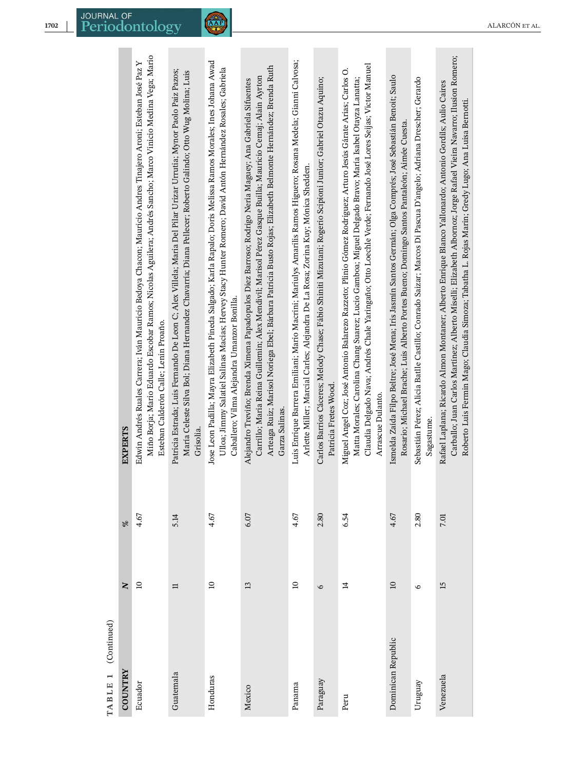| (Continued)<br>TABLE 1 |                 |      |                                                                                                                                                                                                                                                                                                                                                             |
|------------------------|-----------------|------|-------------------------------------------------------------------------------------------------------------------------------------------------------------------------------------------------------------------------------------------------------------------------------------------------------------------------------------------------------------|
| <b>COUNTRY</b>         | $\mathbf{N}$    | olo  | EXPERTS                                                                                                                                                                                                                                                                                                                                                     |
| Ecuador                | $\Xi$           | 4.67 | Miño Borja; Mario Eduardo Escobar Ramos; Nicolas Aguilera; Andrés Sancho; Marco Vinicio Medina Vega; Mario<br>Edwin Andrés Ruales Carrera; Iván Mauricio Bedoya Chacon; Mauricio Andres Tinajero Aroni; Esteban José Paz Y<br>Esteban Calderón Calle; Lenin Proaño.                                                                                         |
| Guatemala              | $\equiv$        | 5.14 | Patricia Estrada; Luis Fernando De Leon C; Alex Villela; Maria Del Pilar Urizar Urrutia; Mynor Paolo Paiz Pazos;<br>María Celeste Silva Bol; Diana Hernandez Chavarría; Diana Pellecer; Roberto Galindo; Otto Wug Molina; Luis<br>Grisolia                                                                                                                  |
| Honduras               | $\overline{10}$ | 4.67 | Jose Leon Padilla; Mayra Elizabeth Pineda Salgado; Karla Rapalo; Doris Melissa Ramos Morales; Ines Johana Awad<br>Ulloa; Jimmy Salatiel Salinas Macias; Hervey Stacy Hunter Romero; David Antón Hernández Rosales; Gabriela<br>Caballero; Vilma Alejandra Umanzor Bonilla.                                                                                  |
| Mexico                 | 13              | 6.07 | Arteaga Ruiz; Marisol Noriega Ebel; Bárbara Patricia Busto Rojas; Elizabeth Belmonte Hernández; Brenda Ruth<br>Carrillo; Maria Reina Guillemin; Alex Mendivil; Marisol Pérez Gasque Builla; Mauricio Cemaj; Alain Ayrton<br>Alejandro Treviño; Brenda Ximena Papadopulos Diez Barroso; Rodrigo Neria Maguey; Ana Gabriela Sifuentes<br>Garza Salinas.       |
| Panama                 | $\overline{10}$ | 4.67 | Luis Enrique Barrera Emiliani; Mario Macrini; Mariulys Amarilis Ramos Higuero; Rosana Medela; Gianni Calvosa;<br>Arlette Miller; Marcial Carles; Alejandra De La Rosa; Zorina Kuy; Mónica Shedden.                                                                                                                                                          |
| Paraguay               | $\circ$         | 2.80 | Carlos Barrios Cáceres; Melody Chase; Fábio Shiniti Mizutani; Rogerio Scipioni Junior; Gabriel Otazu Aquino;<br>Patricia Fretes Wood.                                                                                                                                                                                                                       |
| Peru                   | $\overline{4}$  | 6.54 | Claudia Delgado Nava; Andrés Chale Yaringaño; Otto Loechle Verde; Fernando José Lores Seijas; Victor Manuel<br>Miguel Angel Coz; José Antonio Balarezo Razzeto; Plinio Gómez Rodriguez; Arturo Jesús Gárate Arias; Carlos O.<br>Matta Morales; Carolina Chang Suarez; Lucio Gamboa; Miguel Delgado Bravo; María Isabel Otayza Lanatta;<br>Arrascue Dulanto. |
| Dominican Republic     | $\overline{10}$ | 4.67 | Ismelda Zaída Filpo Beltre; José Mena; Iris Jasmín Santos Germán; Olga Comprés; José Sebastián Benoit; Saulo<br>Rosario; Michael Brache; Luis Alberto Portes Bueno; Domingo Santos Pantaleón; Aimée Cuesta.                                                                                                                                                 |
| Uruguay                | $\circ$         | 2.80 | Sebastián Pérez; Alicia Batlle Castillo; Conrado Saizar; Marcos Di Pascua D'angelo; Adriana Drescher; Gerardo<br>Sagastume.                                                                                                                                                                                                                                 |
| Venezuela              | 15              | 7.01 | Carballo, Juan Carlos Martínez; Alberto Miselli; Elizabeth Albornoz; Jorge Rafael Vieira Navarro; Ilusion Romero;<br>Rafael Laplana; Ricardo Almon Montaner; Alberto Enrique Blanco Yallonardo; Antonio Gordils; Aulio Caires<br>Roberto Luis Fermin Mago; Claudia Simoza; Tabatha L. Rojas Marin; Gredy Lugo; Ana Luisa Bernotti.                          |
|                        |                 |      |                                                                                                                                                                                                                                                                                                                                                             |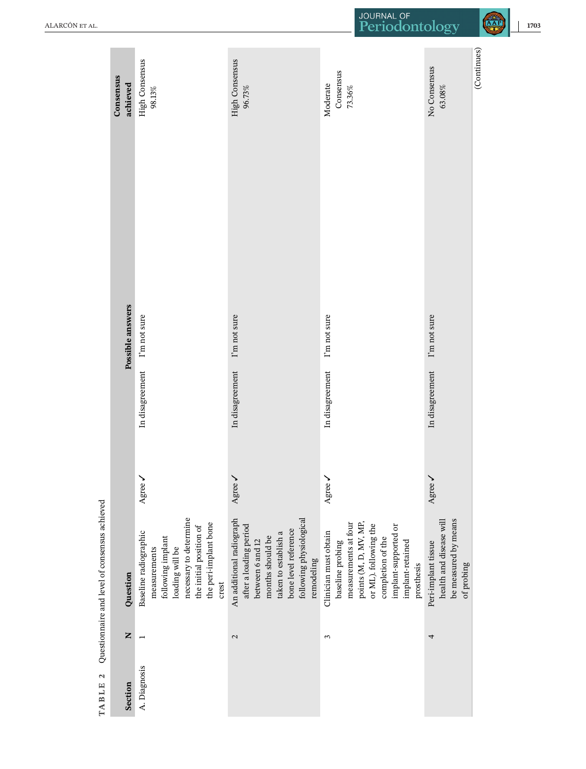<span id="page-6-0"></span>

| ALARCÓN ET AL.                                |                       |                                                                                                                                                                      |                                                                                                                                                                                     | JOURNAL OF<br>Periodontology                                                                                                                                                                       |                                                                                      | <b>AAP</b><br>1703 |
|-----------------------------------------------|-----------------------|----------------------------------------------------------------------------------------------------------------------------------------------------------------------|-------------------------------------------------------------------------------------------------------------------------------------------------------------------------------------|----------------------------------------------------------------------------------------------------------------------------------------------------------------------------------------------------|--------------------------------------------------------------------------------------|--------------------|
|                                               | Consensus<br>achieved | High Consensus<br>$98.13\%$                                                                                                                                          | High Consensus<br>96.73%                                                                                                                                                            | Consensus<br>Moderate<br>73.36%                                                                                                                                                                    | No Consensus<br>63.08%                                                               | (Continues)        |
|                                               |                       |                                                                                                                                                                      |                                                                                                                                                                                     |                                                                                                                                                                                                    |                                                                                      |                    |
|                                               | Possible answers      | I'm not sure                                                                                                                                                         | I'm not sure                                                                                                                                                                        | I'm not sure                                                                                                                                                                                       | I'm not sure                                                                         |                    |
|                                               |                       | In disagreement                                                                                                                                                      | In disagreement                                                                                                                                                                     | In disagreement                                                                                                                                                                                    | In disagreement                                                                      |                    |
|                                               |                       | Agree /                                                                                                                                                              | Agree /                                                                                                                                                                             | Agree /                                                                                                                                                                                            | Agree /                                                                              |                    |
| Questionnaire and level of consensus achieved | Question              | necessary to determine<br>the peri-implant bone<br>the initial position of<br>Baseline radiographic<br>following implant<br>loading will be<br>measurements<br>crest | An additional radiograph<br>following physiological<br>after a loading period<br>bone level reference<br>taken to establish a<br>months should be<br>between 6 and 12<br>remodeling | points (M, D, MV, MP,<br>measurements at four<br>or ML). following the<br>implant-supported or<br>Clinician must obtain<br>completion of the<br>implant-retained<br>baseline probing<br>prosthesis | be measured by means<br>health and disease will<br>Peri-implant tissue<br>of probing |                    |
|                                               | $\mathbf{z}$          | $\overline{ }$                                                                                                                                                       | $\mathbf{\Omega}$                                                                                                                                                                   | $\sim$                                                                                                                                                                                             | 4                                                                                    |                    |
| $\mathbf{z}$<br><b>TABLE</b>                  | Section               | A. Diagnosis                                                                                                                                                         |                                                                                                                                                                                     |                                                                                                                                                                                                    |                                                                                      |                    |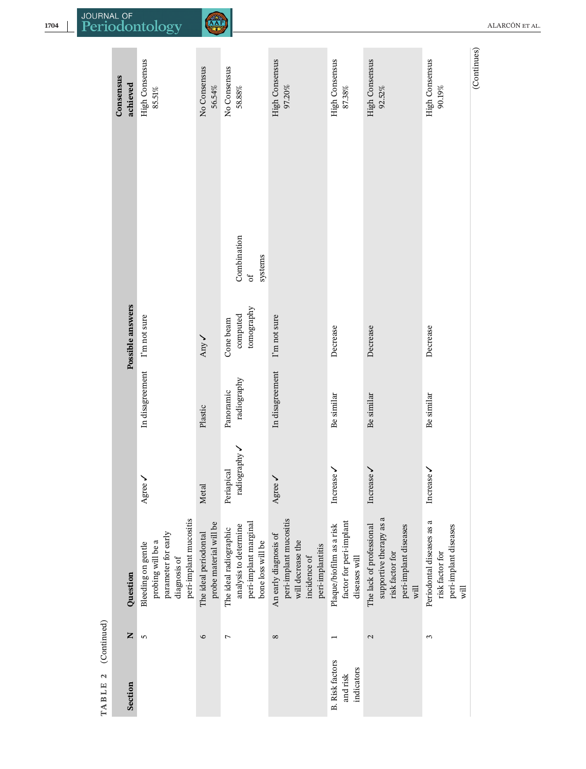| Consensus<br>achieved | <b>High Consensus</b><br>$85.51\%$                                                                       | No Consensus<br>56.54%                          | No Consensus<br>$58.88\%$                                                                     | <b>High Consensus</b><br>97.20%                                                                          | <b>High Consensus</b><br>$87.38\%$                                   | <b>High Consensus</b><br>$92.52\%$                                                                      | High Consensus<br>90.19%                                                                | (Continues) |
|-----------------------|----------------------------------------------------------------------------------------------------------|-------------------------------------------------|-----------------------------------------------------------------------------------------------|----------------------------------------------------------------------------------------------------------|----------------------------------------------------------------------|---------------------------------------------------------------------------------------------------------|-----------------------------------------------------------------------------------------|-------------|
|                       |                                                                                                          |                                                 |                                                                                               |                                                                                                          |                                                                      |                                                                                                         |                                                                                         |             |
|                       |                                                                                                          |                                                 | Combination<br>systems<br>JO                                                                  |                                                                                                          |                                                                      |                                                                                                         |                                                                                         |             |
|                       | I'm not sure                                                                                             | Any -                                           | tomography<br>computed<br>Cone beam                                                           | I'm not sure                                                                                             | Decrease                                                             | Decrease                                                                                                | Decrease                                                                                |             |
|                       | In disagreement                                                                                          | Plastic                                         | radiography<br>Panoramic                                                                      | In disagreement                                                                                          | Be similar                                                           | Be similar                                                                                              | Be similar                                                                              |             |
|                       | Agree $\checkmark$                                                                                       | Metal                                           | radiography<br>Periapical                                                                     | Agree $\checkmark$                                                                                       | Increase                                                             | Increase                                                                                                | Increase                                                                                |             |
| Question              | peri-implant mucositis<br>parameter for early<br>probing will be a<br>Bleeding on gentle<br>diagnosis of | probe material will be<br>The ideal periodontal | peri-implant marginal<br>analysis to determine<br>The ideal radiographic<br>bone loss will be | peri-implant mucositis<br>An early diagnosis of<br>will decrease the<br>peri-implantitis<br>incidence of | factor for peri-implant<br>Plaque/biofilm as a risk<br>diseases will | supportive therapy as a<br>The lack of professional<br>peri-implant diseases<br>risk factor for<br>will | Periodontal diseases as a<br>peri-implant diseases<br>risk factor for<br>$\overline{m}$ |             |
| Z                     | $\overline{5}$                                                                                           | $\circ$                                         | $\overline{ }$                                                                                | $\infty$                                                                                                 |                                                                      | 2                                                                                                       | 3                                                                                       |             |
| Section               |                                                                                                          |                                                 |                                                                                               |                                                                                                          | indicators<br>and risk                                               |                                                                                                         |                                                                                         |             |
|                       | Possible answers                                                                                         |                                                 |                                                                                               |                                                                                                          |                                                                      | <b>B.</b> Risk factors                                                                                  |                                                                                         |             |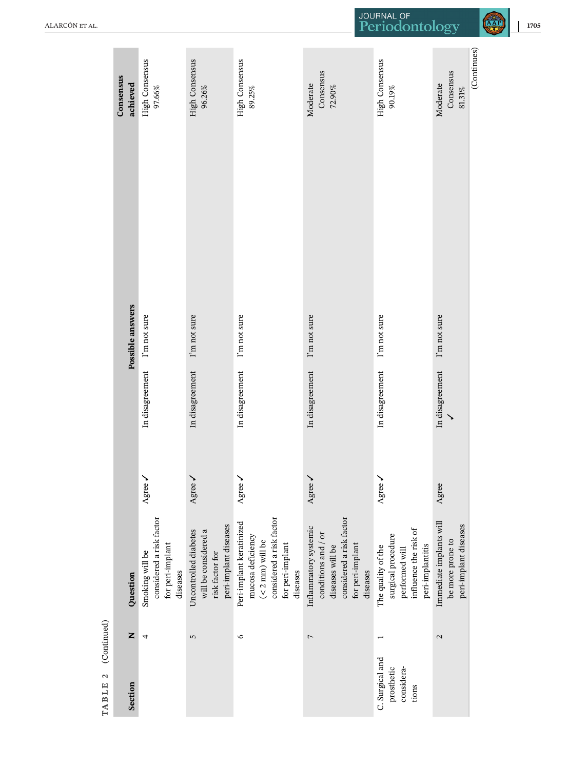|                    | Consensus<br>achieved | <b>High Consensus</b><br>97.66%                                             | <b>High Consensus</b><br>96.26%                                                           | <b>High Consensus</b><br>89.25%                                                                                                 | Consensus<br>Moderate<br>72.90%                                                                                              | <b>High Consensus</b><br>90.19%                                                                         | Consensus<br>Moderate<br>$81.31\%$                                   | (Continues) |
|--------------------|-----------------------|-----------------------------------------------------------------------------|-------------------------------------------------------------------------------------------|---------------------------------------------------------------------------------------------------------------------------------|------------------------------------------------------------------------------------------------------------------------------|---------------------------------------------------------------------------------------------------------|----------------------------------------------------------------------|-------------|
|                    |                       |                                                                             |                                                                                           |                                                                                                                                 |                                                                                                                              |                                                                                                         |                                                                      |             |
|                    |                       |                                                                             |                                                                                           |                                                                                                                                 |                                                                                                                              |                                                                                                         |                                                                      |             |
|                    |                       |                                                                             |                                                                                           |                                                                                                                                 |                                                                                                                              |                                                                                                         |                                                                      |             |
|                    | Possible answers      | I'm not sure                                                                | I'm not sure                                                                              | I'm not sure                                                                                                                    | I'm not sure                                                                                                                 | I'm not sure                                                                                            | I'm not sure                                                         |             |
|                    |                       | In disagreement                                                             | In disagreement                                                                           | In disagreement                                                                                                                 | In disagreement                                                                                                              | In disagreement                                                                                         | In disagreement                                                      |             |
|                    |                       | Agree /                                                                     | Agree /                                                                                   | Agree /                                                                                                                         | Agree /                                                                                                                      | Agree /                                                                                                 | Agree                                                                |             |
|                    | Question              | considered a risk factor<br>for peri-implant<br>Smoking will be<br>diseases | peri-implant diseases<br>will be considered a<br>Uncontrolled diabetes<br>risk factor for | considered a risk factor<br>Peri-implant keratinized<br>mucosa deficiency<br>$(<$ 2 mm) will be<br>for peri-implant<br>diseases | considered a risk factor<br>Inflammatory systemic<br>conditions and / or<br>for peri-implant<br>diseases will be<br>diseases | influence the risk of<br>surgical procedure<br>peri-implantitis<br>The quality of the<br>performed will | Immediate implants will<br>peri-implant diseases<br>be more prone to |             |
| (Continued)        | Z                     | 4                                                                           | 5                                                                                         | $\circ$                                                                                                                         | $\overline{ }$                                                                                                               |                                                                                                         | 2                                                                    |             |
| TABLE <sub>2</sub> | Section               |                                                                             |                                                                                           |                                                                                                                                 |                                                                                                                              | C. Surgical and<br>considera-<br>prosthetic<br>tions                                                    |                                                                      |             |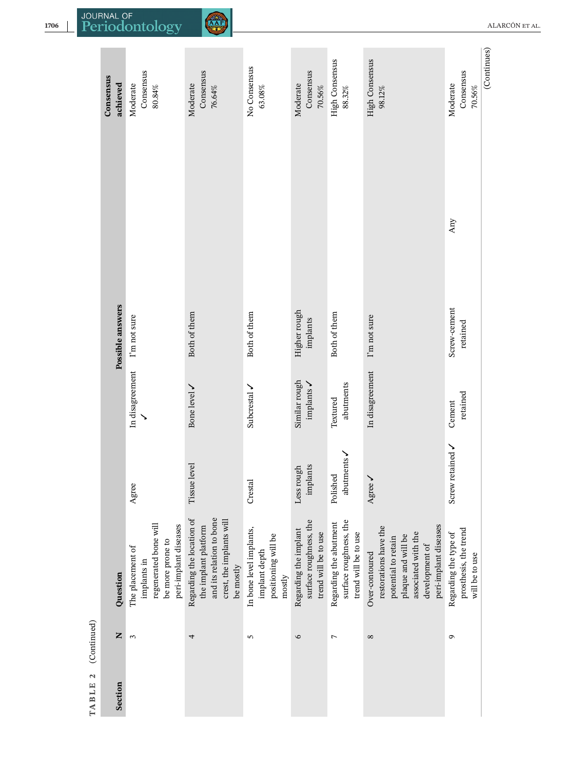| t      |
|--------|
|        |
|        |
|        |
| p<br>נ |
|        |

|             | Consensus<br>achieved | Consensus<br>Moderate<br>$80.84\%$                                                                    | Consensus<br>Moderate<br>76.64%                                                                                        | No Consensus<br>63.08%                                                    | Consensus<br>Moderate<br>$70.56\%$                                      | <b>High Consensus</b><br>88.32%                                          | <b>High Consensus</b><br>98.12%                                                                                                                        | Consensus<br>Moderate<br>$70.56\%$                               | (Continues) |
|-------------|-----------------------|-------------------------------------------------------------------------------------------------------|------------------------------------------------------------------------------------------------------------------------|---------------------------------------------------------------------------|-------------------------------------------------------------------------|--------------------------------------------------------------------------|--------------------------------------------------------------------------------------------------------------------------------------------------------|------------------------------------------------------------------|-------------|
|             |                       |                                                                                                       |                                                                                                                        |                                                                           |                                                                         |                                                                          |                                                                                                                                                        | Any                                                              |             |
|             | Possible answers      | I'm not sure                                                                                          | Both of them                                                                                                           | Both of them                                                              | Higher rough<br>implants                                                | Both of them                                                             | I'm not sure                                                                                                                                           | Screw-cement<br>retained                                         |             |
|             |                       | In disagreement                                                                                       | Bone level /                                                                                                           | Subcrestal                                                                | Similar rough<br>implants                                               | abutments<br>Textured                                                    | In disagreement                                                                                                                                        | retained<br>Cement                                               |             |
|             |                       | Agree                                                                                                 | level<br>Tissue                                                                                                        | Crestal                                                                   | implants<br>Less rough                                                  | abutments<br>Polished                                                    | Agree                                                                                                                                                  | Screw retained /                                                 |             |
|             | Question              | regenerated bone will<br>peri-implant diseases<br>be more prone to<br>The placement of<br>implants in | and its relation to bone<br>Regarding the location of<br>crest, the implants will<br>the implant platform<br>be mostly | In bone level implants,<br>positioning will be<br>implant depth<br>mostly | surface roughness, the<br>Regarding the implant<br>trend will be to use | surface roughness, the<br>Regarding the abutment<br>trend will be to use | peri-implant diseases<br>restorations have the<br>associated with the<br>plaque and will be<br>potential to retain<br>development of<br>Over-contoured | prosthesis, the trend<br>Regarding the type of<br>will be to use |             |
| (Continued) | Z                     | 3                                                                                                     | 4                                                                                                                      | 5                                                                         | $\circ$                                                                 | $\overline{ }$                                                           | $\infty$                                                                                                                                               | G                                                                |             |
| TABLE 2     | Section               |                                                                                                       |                                                                                                                        |                                                                           |                                                                         |                                                                          |                                                                                                                                                        |                                                                  |             |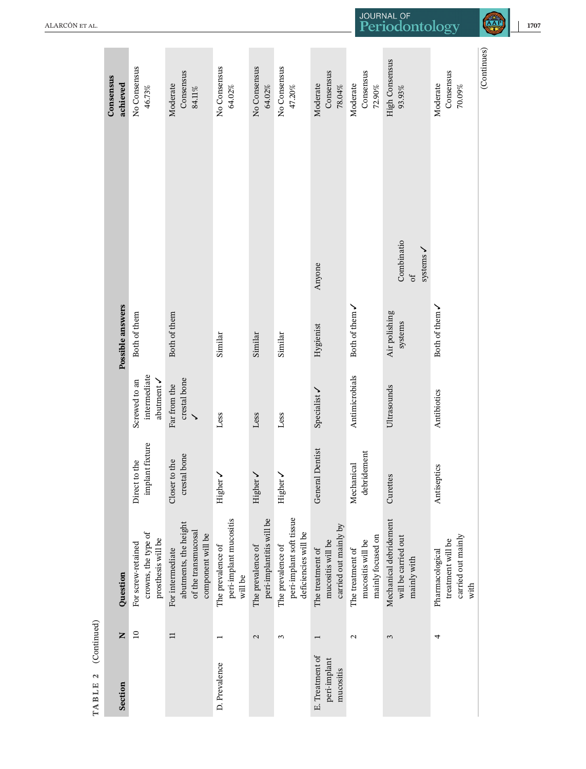| Consensus<br>achieved | No Consensus<br>46.73%                                          | Consensus<br>Moderate<br>$84.11\%$                                                    | No Consensus<br>64.02%                                 | No Consensus<br>64.02%                        | No Consensus<br>47.20%                                                | Consensus<br>Moderate<br>$78.04\%$                             | Consensus<br>Moderate<br>$72.90\%$                         | <b>High Consensus</b><br>93.93%                              | Consensus<br>Moderate<br>70.09%                                    | (Continues) |
|-----------------------|-----------------------------------------------------------------|---------------------------------------------------------------------------------------|--------------------------------------------------------|-----------------------------------------------|-----------------------------------------------------------------------|----------------------------------------------------------------|------------------------------------------------------------|--------------------------------------------------------------|--------------------------------------------------------------------|-------------|
|                       |                                                                 |                                                                                       |                                                        |                                               |                                                                       |                                                                |                                                            |                                                              |                                                                    |             |
|                       |                                                                 |                                                                                       |                                                        |                                               |                                                                       | Anyone                                                         |                                                            | Combinatio<br>systems /<br>$\sigma$ f                        |                                                                    |             |
|                       | Both of them                                                    | Both of them                                                                          | Similar                                                | Similar                                       | Similar                                                               | Hygienist                                                      | Both of them $\checkmark$                                  | Air polishing<br>systems                                     | Both of them $\checkmark$                                          |             |
|                       | intermediate<br>abutment /<br>Screwed to an                     | crestal bone<br>Far from the<br>$\checkmark$                                          | Less                                                   | Less                                          | Less                                                                  | Specialist /                                                   | Antimicrobials                                             | Ultrasounds                                                  | Antibiotics                                                        |             |
|                       | implant fixture<br>Direct to the                                | crestal bone<br>Closer to the                                                         | Higher <b>/</b>                                        | Higher <b>/</b>                               | Higher <b>/</b>                                                       | <b>General Dentist</b>                                         | debridement<br>Mechanical                                  | Curettes                                                     | Antiseptics                                                        |             |
| Question              | crowns, the type of<br>prosthesis will be<br>For screw-retained | abutments, the height<br>of the transmucosal<br>component will be<br>For intermediate | peri-implant mucositis<br>The prevalence of<br>will be | peri-implantitis will be<br>The prevalence of | peri-implant soft tissue<br>deficiencies will be<br>The prevalence of | carried out mainly by<br>mucositis will be<br>The treatment of | mainly focused on<br>mucositis will be<br>The treatment of | Mechanical debridement<br>will be carried out<br>mainly with | carried out mainly<br>treatment will be<br>Pharmacological<br>with |             |
| Z                     | $\overline{10}$                                                 | $\equiv$                                                                              |                                                        | $\mathbf{C}$                                  | 3                                                                     |                                                                | $\mathbf{\Omega}$                                          | 3                                                            | 4                                                                  |             |
| Section               |                                                                 |                                                                                       | D. Prevalence                                          |                                               |                                                                       | E. Treatment of<br>peri-implant<br>mucositis                   |                                                            |                                                              |                                                                    |             |
|                       | Possible answers                                                |                                                                                       |                                                        |                                               |                                                                       |                                                                |                                                            |                                                              |                                                                    |             |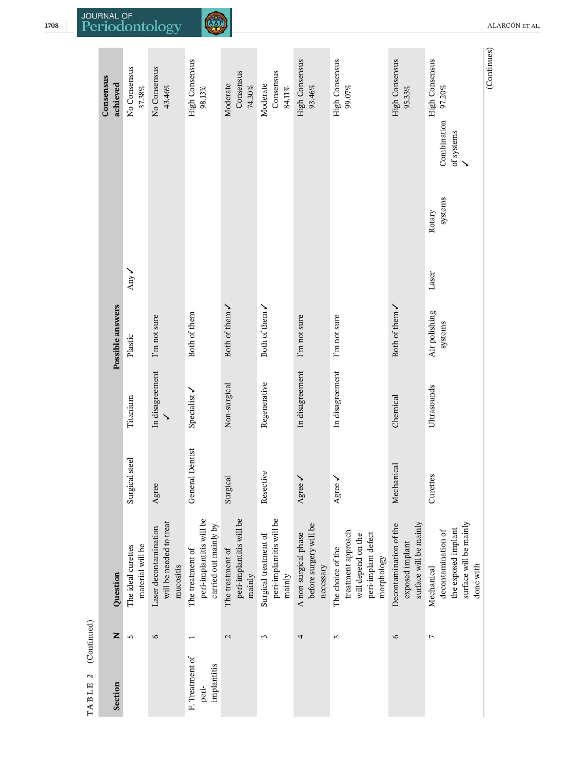|             | Consensus<br>achieved | No Consensus<br>$37.38\%$              | No Consensus<br>43.46%                                        | <b>High Consensus</b><br>$98.13\%$                                    | Consensus<br>Moderate<br>74.30%                        | Consensus<br>Moderate<br>$84.11\%$                          | <b>High Consensus</b><br>93.46%                             | High Consensus<br>99.07%                                                                           | <b>High Consensus</b><br>95.33%                                     | <b>High Consensus</b><br>97.20%                                                                | (Continues) |
|-------------|-----------------------|----------------------------------------|---------------------------------------------------------------|-----------------------------------------------------------------------|--------------------------------------------------------|-------------------------------------------------------------|-------------------------------------------------------------|----------------------------------------------------------------------------------------------------|---------------------------------------------------------------------|------------------------------------------------------------------------------------------------|-------------|
|             |                       |                                        |                                                               |                                                                       |                                                        |                                                             |                                                             |                                                                                                    |                                                                     | Combination<br>of systems                                                                      |             |
|             |                       | Any -                                  |                                                               |                                                                       |                                                        |                                                             |                                                             |                                                                                                    |                                                                     | systems<br>Rotary<br>Laser                                                                     |             |
|             | Possible answers      | Plastic                                | I'm not sure                                                  | Both of them                                                          | Both of them $\checkmark$                              | Both of them $\checkmark$                                   | I'm not sure                                                | I'm not sure                                                                                       | Both of them $\checkmark$                                           | Air polishing<br>systems                                                                       |             |
|             |                       | Titanium                               | In disagreement                                               | Specialist /                                                          | Non-surgical                                           | Regenerative                                                | In disagreement                                             | In disagreement                                                                                    | Chemical                                                            | Ultrasounds                                                                                    |             |
|             |                       | Surgical steel                         | Agree                                                         | <b>General Dentist</b>                                                | Surgical                                               | Resective                                                   | Agree                                                       | Agree                                                                                              | Mechanical                                                          | Curettes                                                                                       |             |
|             | Ouestion              | material will be<br>The ideal curettes | will be needed to treat<br>Laser decontamination<br>mucositis | peri-implantitis will be<br>carried out mainly by<br>The treatment of | peri-implantitis will be<br>The treatment of<br>mainly | peri-implantitis will be<br>Surgical treatment of<br>mainly | before surgery will be<br>A non-surgical phase<br>necessary | treatment approach<br>peri-implant defect<br>will depend on the<br>The choice of the<br>morphology | surface will be mainly<br>Decontamination of the<br>exposed implant | surface will be mainly<br>the exposed implant<br>decontamination of<br>done with<br>Mechanical |             |
| (Continued) | Z                     | $\sqrt{2}$                             | $\circ$                                                       |                                                                       | $\mathbf{\Omega}$                                      | 3                                                           | 4                                                           | 5                                                                                                  | $\circ$                                                             | $\overline{ }$                                                                                 |             |
| TABLE 2     | Section               |                                        |                                                               | F. Treatment of<br>implantitis<br>peri-                               |                                                        |                                                             |                                                             |                                                                                                    |                                                                     |                                                                                                |             |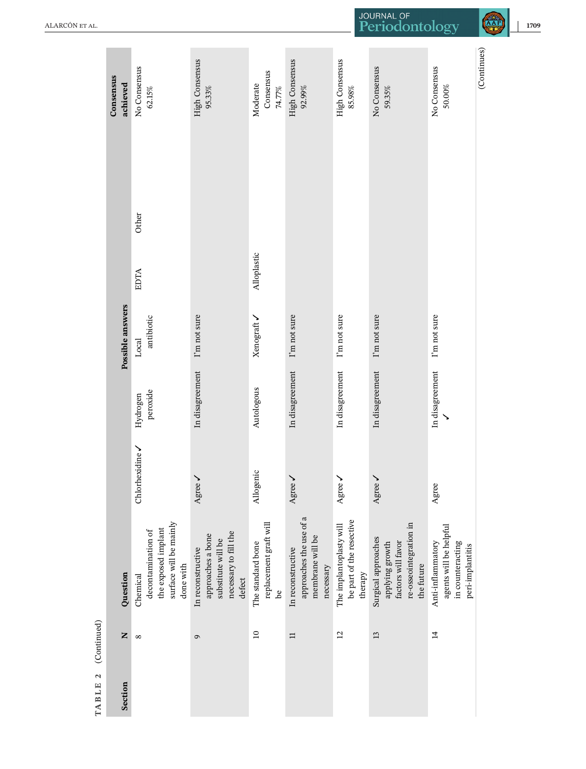| <b>High Consensus</b><br>High Consensus<br>High Consensus<br>No Consensus<br>No Consensus<br>No Consensus<br>Consensus<br>Moderate<br>74.77%<br>50.00%<br>$92.99\%$<br>$85.98\%$<br>95.33%<br>$62.15\%$<br>59.35%<br>Other<br>Alloplastic<br><b>EDTA</b><br>I'm not sure<br>I'm not sure<br>I'm not sure<br>I'm not sure<br>I'm not sure<br>antibiotic<br>Xenograft <b>/</b><br>Local<br>In disagreement<br>In disagreement<br>In disagreement<br>In disagreement<br>In disagreement<br>Autologous<br>peroxide<br>Hydrogen | (Continued)                                                                                                   | Question |                 | Possible answers |  | Consensus<br>achieved |
|----------------------------------------------------------------------------------------------------------------------------------------------------------------------------------------------------------------------------------------------------------------------------------------------------------------------------------------------------------------------------------------------------------------------------------------------------------------------------------------------------------------------------|---------------------------------------------------------------------------------------------------------------|----------|-----------------|------------------|--|-----------------------|
|                                                                                                                                                                                                                                                                                                                                                                                                                                                                                                                            | surface will be mainly<br>the exposed implant<br>decontamination of<br>done with<br>Chemical                  |          | Chlorhexidine / |                  |  |                       |
|                                                                                                                                                                                                                                                                                                                                                                                                                                                                                                                            | Agree<br>necessary to fill the<br>approaches a bone<br>substitute will be<br>In reconstructive<br>defect      |          |                 |                  |  |                       |
|                                                                                                                                                                                                                                                                                                                                                                                                                                                                                                                            | Allogenic<br>replacement graft will<br>The standard bone<br><u>a</u>                                          |          |                 |                  |  |                       |
|                                                                                                                                                                                                                                                                                                                                                                                                                                                                                                                            | Agree .<br>approaches the use of a<br>membrane will be<br>In reconstructive<br>necessary                      |          |                 |                  |  |                       |
|                                                                                                                                                                                                                                                                                                                                                                                                                                                                                                                            | Agree<br>be part of the resective<br>The implantoplasty will<br>therapy                                       |          |                 |                  |  |                       |
|                                                                                                                                                                                                                                                                                                                                                                                                                                                                                                                            | Agree<br>re-osseointegration in<br>Surgical approaches<br>factors will favor<br>applying growth<br>the future |          |                 |                  |  |                       |
|                                                                                                                                                                                                                                                                                                                                                                                                                                                                                                                            | Agree<br>agents will be helpful<br>Anti-inflammatory<br>in counteracting<br>peri-implantitis                  |          |                 |                  |  |                       |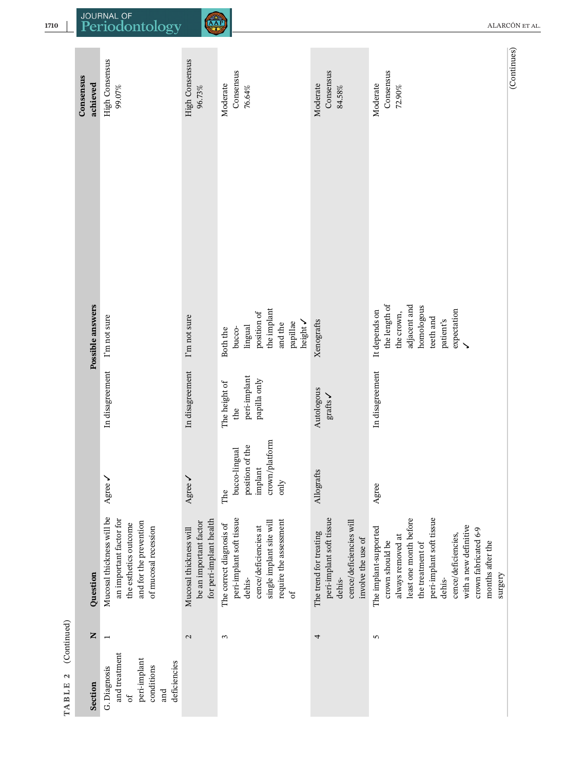|                    | Consensus<br>achieved | <b>High Consensus</b><br>99.07%                                                                                                 | High Consensus<br>96.73%                                                    | Consensus<br>Moderate<br>76.64%                                                                                                                    | Consensus<br>Moderate<br>84.58%                                                                               | Consensus<br>Moderate<br>$72.90\%$                                                                                                                                                                                                                       | (Continues) |
|--------------------|-----------------------|---------------------------------------------------------------------------------------------------------------------------------|-----------------------------------------------------------------------------|----------------------------------------------------------------------------------------------------------------------------------------------------|---------------------------------------------------------------------------------------------------------------|----------------------------------------------------------------------------------------------------------------------------------------------------------------------------------------------------------------------------------------------------------|-------------|
|                    |                       |                                                                                                                                 |                                                                             |                                                                                                                                                    |                                                                                                               |                                                                                                                                                                                                                                                          |             |
|                    |                       |                                                                                                                                 |                                                                             |                                                                                                                                                    |                                                                                                               |                                                                                                                                                                                                                                                          |             |
|                    | Possible answers      | I'm not sure                                                                                                                    | I'm not sure                                                                | the implant<br>position of<br>height <b>/</b><br>papillae<br>and the<br>lingual<br>bucco-<br>Both the                                              | Xenografts                                                                                                    | the length of<br>adjacent and<br>homologous<br>expectation<br>It depends on<br>the crown,<br>teeth and<br>patient's                                                                                                                                      |             |
|                    |                       | In disagreement                                                                                                                 | In disagreement                                                             | peri-implant<br>papilla only<br>The height of<br>the                                                                                               | Autologous<br>$gratts\ \blacktriangleright$                                                                   | In disagreement                                                                                                                                                                                                                                          |             |
|                    |                       | ↘<br>Agree                                                                                                                      | ↘<br>Agree                                                                  | crown/platform<br>position of the<br>bucco-lingual<br>implant<br>only<br>The                                                                       | Allografts                                                                                                    | Agree                                                                                                                                                                                                                                                    |             |
|                    | Question              | Mucosal thickness will be<br>an important factor for<br>and for the prevention<br>the esthetics outcome<br>of mucosal recession | for peri-implant health<br>be an important factor<br>Mucosal thickness will | peri-implant soft tissue<br>require the assessment<br>single implant site will<br>The correct diagnosis of<br>cence/deficiencies at<br>dehis-<br>ď | peri-implant soft tissue<br>cence/deficiencies will<br>The trend for treating<br>involve the use of<br>dehis- | least one month before<br>peri-implant soft tissue<br>with a new definitive<br>The implant-supported<br>crown fabricated 6-9<br>cence/deficiencies,<br>always removed at<br>months after the<br>crown should be<br>the treatment of<br>surgery<br>dehis- |             |
| (Continued)        | Z                     |                                                                                                                                 | $\mathbf{c}$                                                                | 3                                                                                                                                                  | 4                                                                                                             | 5                                                                                                                                                                                                                                                        |             |
| TABLE <sub>2</sub> | Section               | and treatment<br>peri-implant<br>deficiencies<br>conditions<br>G. Diagnosis<br>and<br>đ                                         |                                                                             |                                                                                                                                                    |                                                                                                               |                                                                                                                                                                                                                                                          |             |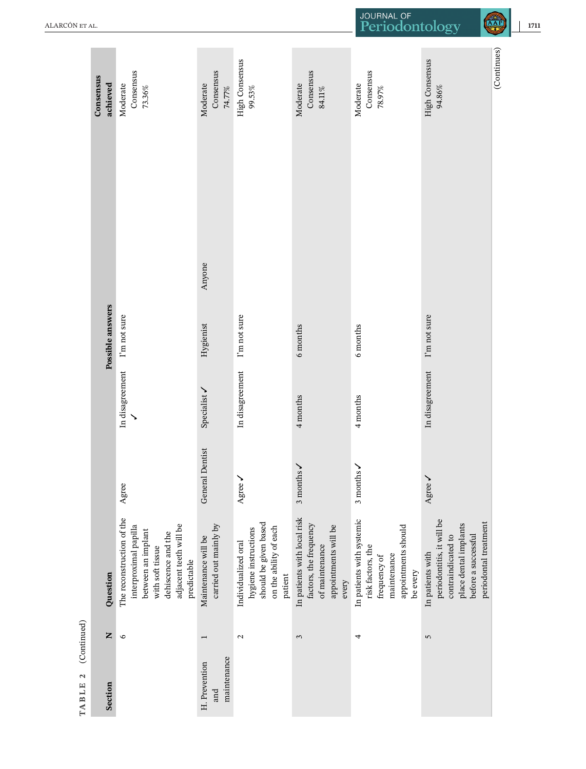|             | Consensus<br>achieved | Consensus<br>Moderate<br>73.36%                                                                                                                             | Consensus<br>Moderate<br>74.77%              | <b>High Consensus</b><br>99.53%                                                                           | Consensus<br>Moderate<br>84.11%                                                                          | Consensus<br>Moderate<br>78.97%                                                                                  | High Consensus<br>94.86%                                                                                                                     | (Continues) |
|-------------|-----------------------|-------------------------------------------------------------------------------------------------------------------------------------------------------------|----------------------------------------------|-----------------------------------------------------------------------------------------------------------|----------------------------------------------------------------------------------------------------------|------------------------------------------------------------------------------------------------------------------|----------------------------------------------------------------------------------------------------------------------------------------------|-------------|
|             |                       |                                                                                                                                                             |                                              |                                                                                                           |                                                                                                          |                                                                                                                  |                                                                                                                                              |             |
|             |                       |                                                                                                                                                             |                                              |                                                                                                           |                                                                                                          |                                                                                                                  |                                                                                                                                              |             |
|             |                       |                                                                                                                                                             | Anyone                                       |                                                                                                           |                                                                                                          |                                                                                                                  |                                                                                                                                              |             |
|             | Possible answers      | I'm not sure                                                                                                                                                | Hygienist                                    | I'm not sure                                                                                              | 6 months                                                                                                 | 6 months                                                                                                         | I'm not sure                                                                                                                                 |             |
|             |                       | In disagreement                                                                                                                                             | Specialist /                                 | In disagreement                                                                                           | 4 months                                                                                                 | 4 months                                                                                                         | In disagreement                                                                                                                              |             |
|             |                       | Agree                                                                                                                                                       | <b>General Dentist</b>                       | Agree /                                                                                                   | $3$ months $\checkmark$                                                                                  | 3 months $\checkmark$                                                                                            | Agree /                                                                                                                                      |             |
|             | Question              | The reconstruction of the<br>adjacent teeth will be<br>interproximal papilla<br>between an implant<br>dehiscence and the<br>with soft tissue<br>predictable | carried out mainly by<br>Maintenance will be | should be given based<br>on the ability of each<br>hygiene instructions<br>Individualized oral<br>patient | In patients with local risk<br>factors, the frequency<br>appointments will be<br>of maintenance<br>every | In patients with systemic<br>appointments should<br>risk factors, the<br>maintenance<br>frequency of<br>be every | periodontitis, it will be<br>periodontal treatment<br>place dental implants<br>before a successful<br>contraindicated to<br>In patients with |             |
| (Continued) | Z                     | $\circ$                                                                                                                                                     |                                              | $\mathbf{c}$                                                                                              | 3                                                                                                        | 4                                                                                                                | 5                                                                                                                                            |             |
| TABLE 2     | Section               |                                                                                                                                                             | maintenance<br>H. Prevention<br>and          |                                                                                                           |                                                                                                          |                                                                                                                  |                                                                                                                                              |             |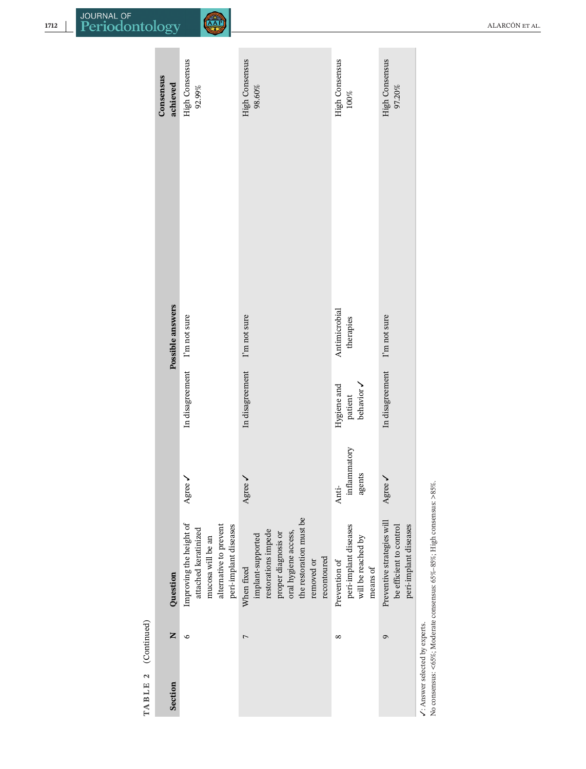| TABLE 2 (Continued)            |            |                                                                                                                                                               |                                 |                                      |                            |                                    |
|--------------------------------|------------|---------------------------------------------------------------------------------------------------------------------------------------------------------------|---------------------------------|--------------------------------------|----------------------------|------------------------------------|
| Section                        | Z          | Question                                                                                                                                                      |                                 |                                      | Possible answers           | Consensus<br>achieved              |
|                                | G          | Improving the height of<br>alternative to prevent<br>peri-implant diseases<br>attached keratinized<br>mucosa will be an                                       | Agree                           | In disagreement I'm not sure         |                            | <b>High Consensus</b><br>$92.99\%$ |
|                                | 7          | the restoration must be<br>restorations impede<br>oral hygiene access,<br>proper diagnosis or<br>implant-supported<br>recontoured<br>removed or<br>When fixed | Agree                           | In disagreement                      | I'm not sure               | High Consensus<br>98.60%           |
|                                | $^{\circ}$ | peri-implant diseases<br>will be reached by<br>Prevention of<br>means of                                                                                      | inflammatory<br>agents<br>Anti- | Hygiene and<br>behavior v<br>patient | Antimicrobial<br>therapies | <b>High Consensus</b><br>$100\%$   |
|                                | 9          | Preventive strategies will<br>be efficient to control<br>peri-implant diseases                                                                                | Agree                           | In disagreement                      | I'm not sure               | <b>High Consensus</b><br>97.20%    |
| /: Answer selected by experts. |            | No consensus: <65%; Moderate consensus: 65%-85%; High consensus: >85%                                                                                         |                                 |                                      |                            |                                    |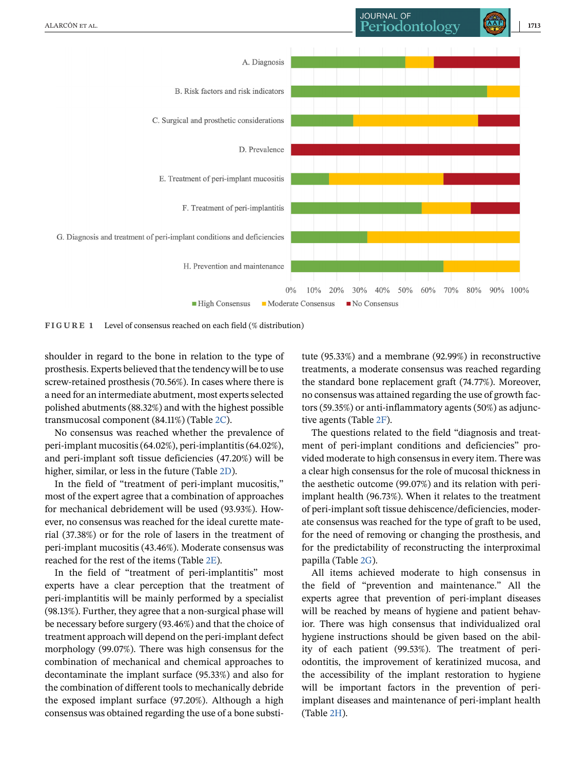<span id="page-16-0"></span>

**FIGURE 1** Level of consensus reached on each field (% distribution)

shoulder in regard to the bone in relation to the type of prosthesis. Experts believed that the tendency will be to use screw-retained prosthesis (70.56%). In cases where there is a need for an intermediate abutment, most experts selected polished abutments (88.32%) and with the highest possible transmucosal component (84.11%) (Table [2C\)](#page-6-0).

No consensus was reached whether the prevalence of peri-implant mucositis (64.02%), peri-implantitis (64.02%), and peri-implant soft tissue deficiencies (47.20%) will be higher, similar, or less in the future (Table [2D\)](#page-6-0).

In the field of "treatment of peri-implant mucositis," most of the expert agree that a combination of approaches for mechanical debridement will be used (93.93%). However, no consensus was reached for the ideal curette material (37.38%) or for the role of lasers in the treatment of peri-implant mucositis (43.46%). Moderate consensus was reached for the rest of the items (Table [2E\)](#page-6-0).

In the field of "treatment of peri-implantitis" most experts have a clear perception that the treatment of peri-implantitis will be mainly performed by a specialist (98.13%). Further, they agree that a non-surgical phase will be necessary before surgery (93.46%) and that the choice of treatment approach will depend on the peri-implant defect morphology (99.07%). There was high consensus for the combination of mechanical and chemical approaches to decontaminate the implant surface (95.33%) and also for the combination of different tools to mechanically debride the exposed implant surface (97.20%). Although a high consensus was obtained regarding the use of a bone substitute (95.33%) and a membrane (92.99%) in reconstructive treatments, a moderate consensus was reached regarding the standard bone replacement graft (74.77%). Moreover, no consensus was attained regarding the use of growth factors (59.35%) or anti-inflammatory agents (50%) as adjunctive agents (Table [2F\)](#page-6-0).

The questions related to the field "diagnosis and treatment of peri-implant conditions and deficiencies" provided moderate to high consensus in every item. There was a clear high consensus for the role of mucosal thickness in the aesthetic outcome (99.07%) and its relation with periimplant health (96.73%). When it relates to the treatment of peri-implant soft tissue dehiscence/deficiencies, moderate consensus was reached for the type of graft to be used, for the need of removing or changing the prosthesis, and for the predictability of reconstructing the interproximal papilla (Table [2G\)](#page-6-0).

All items achieved moderate to high consensus in the field of "prevention and maintenance." All the experts agree that prevention of peri-implant diseases will be reached by means of hygiene and patient behavior. There was high consensus that individualized oral hygiene instructions should be given based on the ability of each patient (99.53%). The treatment of periodontitis, the improvement of keratinized mucosa, and the accessibility of the implant restoration to hygiene will be important factors in the prevention of periimplant diseases and maintenance of peri-implant health (Table [2H\)](#page-6-0).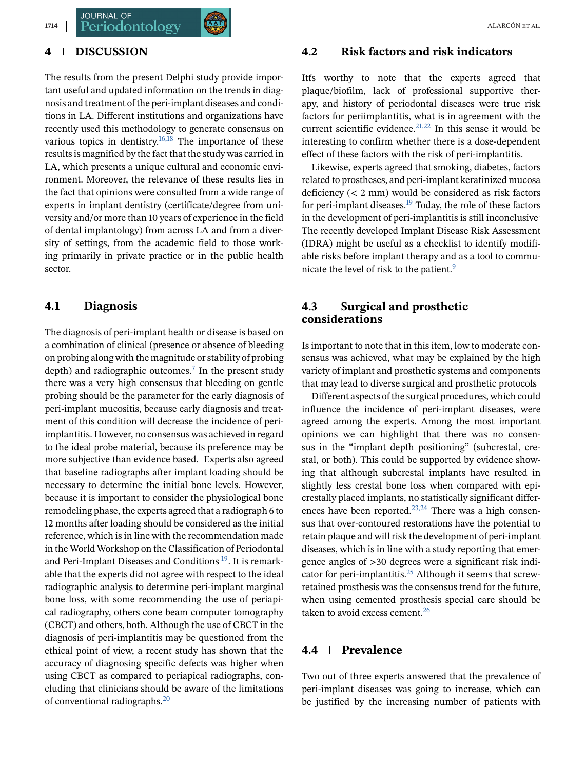### **4 DISCUSSION**

The results from the present Delphi study provide important useful and updated information on the trends in diagnosis and treatment of the peri-implant diseases and conditions in LA. Different institutions and organizations have recently used this methodology to generate consensus on various topics in dentistry.<sup>16,18</sup> The importance of these results is magnified by the fact that the study was carried in LA, which presents a unique cultural and economic environment. Moreover, the relevance of these results lies in the fact that opinions were consulted from a wide range of experts in implant dentistry (certificate/degree from university and/or more than 10 years of experience in the field of dental implantology) from across LA and from a diversity of settings, from the academic field to those working primarily in private practice or in the public health sector.

## **4.1 Diagnosis**

The diagnosis of peri-implant health or disease is based on a combination of clinical (presence or absence of bleeding on probing along with the magnitude or stability of probing depth) and radiographic outcomes.<sup>7</sup> In the present study there was a very high consensus that bleeding on gentle probing should be the parameter for the early diagnosis of peri-implant mucositis, because early diagnosis and treatment of this condition will decrease the incidence of periimplantitis. However, no consensus was achieved in regard to the ideal probe material, because its preference may be more subjective than evidence based. Experts also agreed that baseline radiographs after implant loading should be necessary to determine the initial bone levels. However, because it is important to consider the physiological bone remodeling phase, the experts agreed that a radiograph 6 to 12 months after loading should be considered as the initial reference, which is in line with the recommendation made in the World Workshop on the Classification of Periodontal and Peri-Implant Diseases and Conditions  $19$ . It is remarkable that the experts did not agree with respect to the ideal radiographic analysis to determine peri-implant marginal bone loss, with some recommending the use of periapical radiography, others cone beam computer tomography (CBCT) and others, both. Although the use of CBCT in the diagnosis of peri-implantitis may be questioned from the ethical point of view, a recent study has shown that the accuracy of diagnosing specific defects was higher when using CBCT as compared to periapical radiographs, concluding that clinicians should be aware of the limitations of conventional radiographs.[20](#page-20-0)

#### **4.2 Risk factors and risk indicators**

Itťs worthy to note that the experts agreed that plaque/biofilm, lack of professional supportive therapy, and history of periodontal diseases were true risk factors for periimplantitis, what is in agreement with the current scientific evidence.<sup>21,22</sup> In this sense it would be interesting to confirm whether there is a dose-dependent effect of these factors with the risk of peri-implantitis.

Likewise, experts agreed that smoking, diabetes, factors related to prostheses, and peri-implant keratinized mucosa deficiency (< 2 mm) would be considered as risk factors for peri-implant diseases[.19](#page-20-0) Today, the role of these factors in the development of peri-implantitis is still inconclusive. The recently developed Implant Disease Risk Assessment (IDRA) might be useful as a checklist to identify modifiable risks before implant therapy and as a tool to communicate the level of risk to the patient.<sup>9</sup>

## **4.3 Surgical and prosthetic considerations**

Is important to note that in this item, low to moderate consensus was achieved, what may be explained by the high variety of implant and prosthetic systems and components that may lead to diverse surgical and prosthetic protocols

Different aspects of the surgical procedures, which could influence the incidence of peri-implant diseases, were agreed among the experts. Among the most important opinions we can highlight that there was no consensus in the "implant depth positioning" (subcrestal, crestal, or both). This could be supported by evidence showing that although subcrestal implants have resulted in slightly less crestal bone loss when compared with epicrestally placed implants, no statistically significant differences have been reported. $23,24$  There was a high consensus that over-contoured restorations have the potential to retain plaque and will risk the development of peri-implant diseases, which is in line with a study reporting that emergence angles of >30 degrees were a significant risk indi-cator for peri-implantitis.<sup>[25](#page-20-0)</sup> Although it seems that screwretained prosthesis was the consensus trend for the future, when using cemented prosthesis special care should be taken to avoid excess cement. $26$ 

## **4.4 Prevalence**

Two out of three experts answered that the prevalence of peri-implant diseases was going to increase, which can be justified by the increasing number of patients with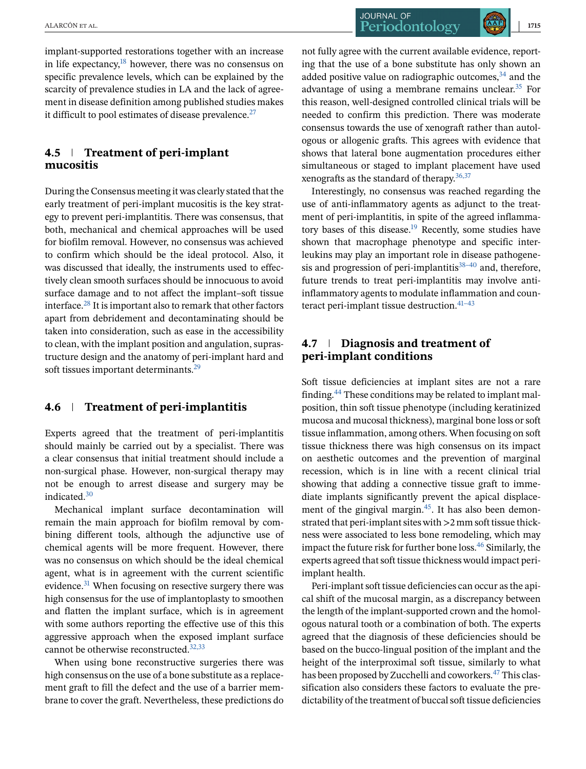**JOURNAL OF** ALARCÓN ET AL. **1715** 

implant-supported restorations together with an increase in life expectancy, $18$  however, there was no consensus on specific prevalence levels, which can be explained by the scarcity of prevalence studies in LA and the lack of agreement in disease definition among published studies makes it difficult to pool estimates of disease prevalence.<sup>27</sup>

## **4.5 Treatment of peri-implant mucositis**

During the Consensus meeting it was clearly stated that the early treatment of peri-implant mucositis is the key strategy to prevent peri-implantitis. There was consensus, that both, mechanical and chemical approaches will be used for biofilm removal. However, no consensus was achieved to confirm which should be the ideal protocol. Also, it was discussed that ideally, the instruments used to effectively clean smooth surfaces should be innocuous to avoid surface damage and to not affect the implant–soft tissue interface[.28](#page-20-0) It is important also to remark that other factors apart from debridement and decontaminating should be taken into consideration, such as ease in the accessibility to clean, with the implant position and angulation, suprastructure design and the anatomy of peri-implant hard and soft tissues important determinants.<sup>29</sup>

## **4.6 Treatment of peri-implantitis**

Experts agreed that the treatment of peri-implantitis should mainly be carried out by a specialist. There was a clear consensus that initial treatment should include a non-surgical phase. However, non-surgical therapy may not be enough to arrest disease and surgery may be indicated[.30](#page-20-0)

Mechanical implant surface decontamination will remain the main approach for biofilm removal by combining different tools, although the adjunctive use of chemical agents will be more frequent. However, there was no consensus on which should be the ideal chemical agent, what is in agreement with the current scientific evidence.<sup>31</sup> When focusing on resective surgery there was high consensus for the use of implantoplasty to smoothen and flatten the implant surface, which is in agreement with some authors reporting the effective use of this this aggressive approach when the exposed implant surface cannot be otherwise reconstructed.<sup>32,33</sup>

When using bone reconstructive surgeries there was high consensus on the use of a bone substitute as a replacement graft to fill the defect and the use of a barrier membrane to cover the graft. Nevertheless, these predictions do

not fully agree with the current available evidence, reporting that the use of a bone substitute has only shown an added positive value on radiographic outcomes, $34$  and the advantage of using a membrane remains unclear. $35$  For this reason, well-designed controlled clinical trials will be needed to confirm this prediction. There was moderate consensus towards the use of xenograft rather than autologous or allogenic grafts. This agrees with evidence that shows that lateral bone augmentation procedures either simultaneous or staged to implant placement have used xenografts as the standard of therapy[.36,37](#page-20-0)

Interestingly, no consensus was reached regarding the use of anti-inflammatory agents as adjunct to the treatment of peri-implantitis, in spite of the agreed inflammatory bases of this disease.<sup>19</sup> Recently, some studies have shown that macrophage phenotype and specific interleukins may play an important role in disease pathogenesis and progression of peri-implantitis<sup>38-40</sup> and, therefore, future trends to treat peri-implantitis may involve antiinflammatory agents to modulate inflammation and counteract peri-implant tissue destruction. $41-43$ 

## **4.7 Diagnosis and treatment of peri-implant conditions**

Soft tissue deficiencies at implant sites are not a rare finding[.44](#page-21-0) These conditions may be related to implant malposition, thin soft tissue phenotype (including keratinized mucosa and mucosal thickness), marginal bone loss or soft tissue inflammation, among others. When focusing on soft tissue thickness there was high consensus on its impact on aesthetic outcomes and the prevention of marginal recession, which is in line with a recent clinical trial showing that adding a connective tissue graft to immediate implants significantly prevent the apical displacement of the gingival margin. $45$ . It has also been demonstrated that peri-implant sites with >2 mm soft tissue thickness were associated to less bone remodeling, which may impact the future risk for further bone loss[.46](#page-21-0) Similarly, the experts agreed that soft tissue thickness would impact periimplant health.

Peri-implant soft tissue deficiencies can occur as the apical shift of the mucosal margin, as a discrepancy between the length of the implant-supported crown and the homologous natural tooth or a combination of both. The experts agreed that the diagnosis of these deficiencies should be based on the bucco-lingual position of the implant and the height of the interproximal soft tissue, similarly to what has been proposed by Zucchelli and coworkers.<sup>47</sup> This classification also considers these factors to evaluate the predictability of the treatment of buccal soft tissue deficiencies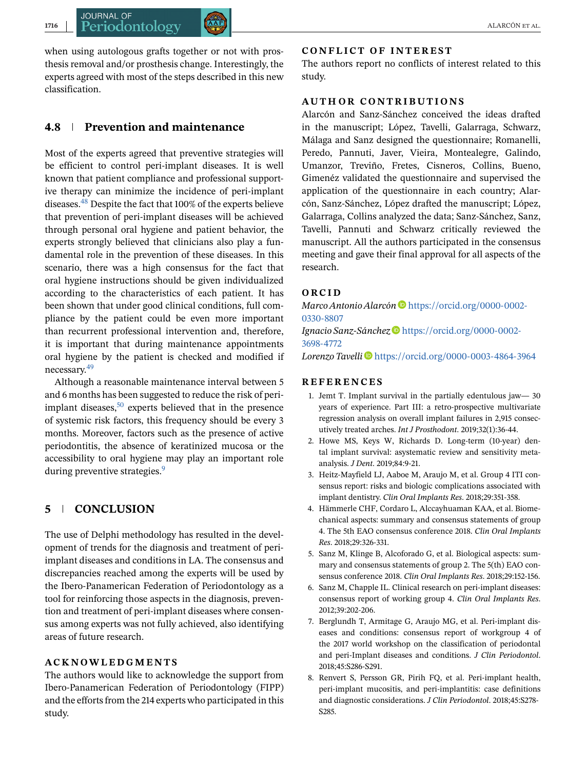<span id="page-19-0"></span>when using autologous grafts together or not with prosthesis removal and/or prosthesis change. Interestingly, the experts agreed with most of the steps described in this new classification.

## **4.8 Prevention and maintenance**

Most of the experts agreed that preventive strategies will be efficient to control peri-implant diseases. It is well known that patient compliance and professional supportive therapy can minimize the incidence of peri-implant diseases.[48](#page-21-0) Despite the fact that 100% of the experts believe that prevention of peri-implant diseases will be achieved through personal oral hygiene and patient behavior, the experts strongly believed that clinicians also play a fundamental role in the prevention of these diseases. In this scenario, there was a high consensus for the fact that oral hygiene instructions should be given individualized according to the characteristics of each patient. It has been shown that under good clinical conditions, full compliance by the patient could be even more important than recurrent professional intervention and, therefore, it is important that during maintenance appointments oral hygiene by the patient is checked and modified if necessary[.49](#page-21-0)

Although a reasonable maintenance interval between 5 and 6 months has been suggested to reduce the risk of periimplant diseases, $50$  experts believed that in the presence of systemic risk factors, this frequency should be every 3 months. Moreover, factors such as the presence of active periodontitis, the absence of keratinized mucosa or the accessibility to oral hygiene may play an important role during preventive strategies.<sup>9</sup>

## **5 CONCLUSION**

The use of Delphi methodology has resulted in the development of trends for the diagnosis and treatment of periimplant diseases and conditions in LA. The consensus and discrepancies reached among the experts will be used by the Ibero-Panamerican Federation of Periodontology as a tool for reinforcing those aspects in the diagnosis, prevention and treatment of peri-implant diseases where consensus among experts was not fully achieved, also identifying areas of future research.

#### **ACKNOWLEDGMENTS**

The authors would like to acknowledge the support from Ibero-Panamerican Federation of Periodontology (FIPP) and the efforts from the 214 experts who participated in this study.

#### **CONFLICT OF INTEREST**

The authors report no conflicts of interest related to this study.

#### **AUTHOR CONTRIBUTIONS**

Alarcón and Sanz-Sánchez conceived the ideas drafted in the manuscript; López, Tavelli, Galarraga, Schwarz, Málaga and Sanz designed the questionnaire; Romanelli, Peredo, Pannuti, Javer, Vieira, Montealegre, Galindo, Umanzor, Treviño, Fretes, Cisneros, Collins, Bueno, Gimenéz validated the questionnaire and supervised the application of the questionnaire in each country; Alarcón, Sanz-Sánchez, López drafted the manuscript; López, Galarraga, Collins analyzed the data; Sanz-Sánchez, Sanz, Tavelli, Pannuti and Schwarz critically reviewed the manuscript. All the authors participated in the consensus meeting and gave their final approval for all aspects of the research.

#### **ORCID**

*Marco Antonio Alarcón* D[https://orcid.org/0000-0002-](https://orcid.org/0000-0002-0330-8807) [0330-8807](https://orcid.org/0000-0002-0330-8807)

*Ignacio Sanz-Sánchez* [https://orcid.org/0000-0002-](https://orcid.org/0000-0002-3698-4772) [3698-4772](https://orcid.org/0000-0002-3698-4772)

*Lorenzo Tavelli* <https://orcid.org/0000-0003-4864-3964>

#### **REFERENCES**

- 1. Jemt T. Implant survival in the partially edentulous jaw— 30 years of experience. Part III: a retro-prospective multivariate regression analysis on overall implant failures in 2,915 consecutively treated arches. *Int J Prosthodont*. 2019;32(1):36-44.
- 2. Howe MS, Keys W, Richards D. Long-term (10-year) dental implant survival: asystematic review and sensitivity metaanalysis. *J Dent*. 2019;84:9-21.
- 3. Heitz-Mayfield LJ, Aaboe M, Araujo M, et al. Group 4 ITI consensus report: risks and biologic complications associated with implant dentistry. *Clin Oral Implants Res*. 2018;29:351-358.
- 4. Hämmerle CHF, Cordaro L, Alccayhuaman KAA, et al. Biomechanical aspects: summary and consensus statements of group 4. The 5th EAO consensus conference 2018. *Clin Oral Implants Res*. 2018;29:326-331.
- 5. Sanz M, Klinge B, Alcoforado G, et al. Biological aspects: summary and consensus statements of group 2. The 5(th) EAO consensus conference 2018. *Clin Oral Implants Res*. 2018;29:152-156.
- 6. Sanz M, Chapple IL. Clinical research on peri-implant diseases: consensus report of working group 4. *Clin Oral Implants Res*. 2012;39:202-206.
- 7. Berglundh T, Armitage G, Araujo MG, et al. Peri-implant diseases and conditions: consensus report of workgroup 4 of the 2017 world workshop on the classification of periodontal and peri-Implant diseases and conditions. *J Clin Periodontol*. 2018;45:S286-S291.
- 8. Renvert S, Persson GR, Pirih FQ, et al. Peri-implant health, peri-implant mucositis, and peri-implantitis: case definitions and diagnostic considerations. *J Clin Periodontol*. 2018;45:S278- S285.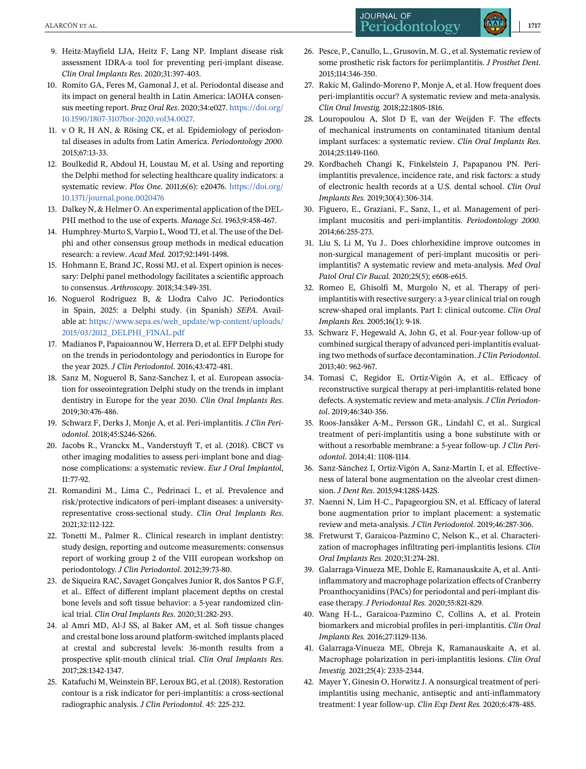- <span id="page-20-0"></span>9. Heitz-Mayfield LJA, Heitz F, Lang NP. Implant disease risk assessment IDRA-a tool for preventing peri-implant disease. *Clin Oral Implants Res*. 2020;31:397-403.
- 10. Romito GA, Feres M, Gamonal J, et al. Periodontal disease and its impact on general health in Latin America: lAOHA consensus meeting report. *Braz Oral Res*. 2020;34:e027. [https://doi.org/](https://doi.org/10.1590/1807-3107bor-2020.vol34.0027) [10.1590/1807-3107bor-2020.vol34.0027.](https://doi.org/10.1590/1807-3107bor-2020.vol34.0027)
- 11. v O R, H AN, & Rösing CK, et al. Epidemiology of periodontal diseases in adults from Latin America. *Periodontology 2000.* 2015;67:13-33.
- 12. Boulkedid R, Abdoul H, Loustau M, et al. Using and reporting the Delphi method for selecting healthcare quality indicators: a systematic review. *Plos One*. 2011;6(6): e20476. [https://doi.org/](https://doi.org/10.1371/journal.pone.0020476) [10.1371/journal.pone.0020476](https://doi.org/10.1371/journal.pone.0020476)
- 13. Dalkey N, & Helmer O. An experimental application of the DEL-PHI method to the use of experts. *Manage Sci*. 1963;9:458-467.
- 14. Humphrey-Murto S, Varpio L, Wood TJ, et al. The use of the Delphi and other consensus group methods in medical education research: a review. *Acad Med.* 2017;92:1491-1498.
- 15. Hohmann E, Brand JC, Rossi MJ, et al. Expert opinion is necessary: Delphi panel methodology facilitates a scientific approach to consensus. *Arthroscopy*. 2018;34:349-351.
- 16. Noguerol Rodriguez B, & Llodra Calvo JC. Periodontics in Spain, 2025: a Delphi study. (in Spanish) *SEPA*. Available at: [https://www.sepa.es/web\\_update/wp-content/uploads/](https://www.sepa.es/web_update/wp-content/uploads/2015/03/2012_DELPHI_FINAL.pdf) [2015/03/2012\\_DELPHI\\_FINAL.pdf](https://www.sepa.es/web_update/wp-content/uploads/2015/03/2012_DELPHI_FINAL.pdf)
- 17. Madianos P, Papaioannou W, Herrera D, et al. EFP Delphi study on the trends in periodontology and periodontics in Europe for the year 2025. *J Clin Periodontol*. 2016;43:472-481.
- 18. Sanz M, Noguerol B, Sanz-Sanchez I, et al. European association for osseointegration Delphi study on the trends in implant dentistry in Europe for the year 2030. *Clin Oral Implants Res*. 2019;30:476-486.
- 19. Schwarz F, Derks J, Monje A, et al. Peri-implantitis. *J Clin Periodontol*. 2018;45:S246-S266.
- 20. Jacobs R., Vranckx M., Vanderstuyft T, et al. (2018). CBCT vs other imaging modalities to assess peri-implant bone and diagnose complications: a systematic review. *Eur J Oral Implantol*, 11:77-92.
- 21. Romandini M., Lima C., Pedrinaci I., et al. Prevalence and risk/protective indicators of peri-implant diseases: a universityrepresentative cross-sectional study. *Clin Oral Implants Res*. 2021;32:112-122.
- 22. Tonetti M., Palmer R.. Clinical research in implant dentistry: study design, reporting and outcome measurements: consensus report of working group 2 of the VIII european workshop on periodontology. *J Clin Periodontol*. 2012;39:73-80.
- 23. de Siqueira RAC, Savaget Gonçalves Junior R, dos Santos P G.F, et al.. Effect of different implant placement depths on crestal bone levels and soft tissue behavior: a 5-year randomized clinical trial. *Clin Oral Implants Res*. 2020;31:282-293.
- 24. al Amri MD, Al-J SS, al Baker AM, et al. Soft tissue changes and crestal bone loss around platform-switched implants placed at crestal and subcrestal levels: 36-month results from a prospective split-mouth clinical trial. *Clin Oral Implants Res*. 2017;28:1342-1347.
- 25. Katafuchi M, Weinstein BF, Leroux BG, et al. (2018). Restoration contour is a risk indicator for peri-implantitis: a cross-sectional radiographic analysis. *J Clin Periodontol*. 45: 225-232.
- 26. Pesce, P., Canullo, L., Grusovin, M. G., et al. Systematic review of some prosthetic risk factors for periimplantitis. *J Prosthet Dent*. 2015;114:346-350.
- 27. Rakic M, Galindo-Moreno P, Monje A, et al. How frequent does peri-implantitis occur? A systematic review and meta-analysis. *Clin Oral Investig.* 2018;22:1805-1816.
- 28. Louropoulou A, Slot D E, van der Weijden F. The effects of mechanical instruments on contaminated titanium dental implant surfaces: a systematic review. *Clin Oral Implants Res*. 2014;25:1149-1160.
- 29. Kordbacheh Changi K, Finkelstein J, Papapanou PN. Periimplantitis prevalence, incidence rate, and risk factors: a study of electronic health records at a U.S. dental school. *Clin Oral Implants Res.* 2019;30(4):306-314.
- 30. Figuero, E., Graziani, F., Sanz, I., et al. Management of periimplant mucositis and peri-implantitis. *Periodontology 2000.* 2014;66:255-273.
- 31. Liu S, Li M, Yu J.. Does chlorhexidine improve outcomes in non-surgical management of peri-implant mucositis or periimplantitis? A systematic review and meta-analysis. *Med Oral Patol Oral Cir Bucal.* 2020;25(5); e608-e615.
- 32. Romeo E, Ghisolfi M, Murgolo N, et al. Therapy of periimplantitis with resective surgery: a 3-year clinical trial on rough screw-shaped oral implants. Part I: clinical outcome. *Clin Oral Implants Res.* 2005;16(1): 9-18.
- 33. Schwarz F, Hegewald A, John G, et al. Four-year follow-up of combined surgical therapy of advanced peri-implantitis evaluating two methods of surface decontamination.*J Clin Periodontol*. 2013;40: 962-967.
- 34. Tomasi C, Regidor E, Ortiz-Vigón A, et al.. Efficacy of reconstructive surgical therapy at peri-implantitis-related bone defects. A systematic review and meta-analysis. *J Clin Periodontol*. 2019;46:340-356.
- 35. Roos-Jansåker A-M., Persson GR., Lindahl C, et al.. Surgical treatment of peri-implantitis using a bone substitute with or without a resorbable membrane: a 5-year follow-up. *J Clin Periodontol*. 2014;41: 1108-1114.
- 36. Sanz-Sánchez I, Ortiz-Vigón A, Sanz-Martín I, et al. Effectiveness of lateral bone augmentation on the alveolar crest dimension. *J Dent Res*. 2015;94:128S-142S.
- 37. Naenni N, Lim H-C., Papageorgiou SN, et al. Efficacy of lateral bone augmentation prior to implant placement: a systematic review and meta-analysis. *J Clin Periodontol*. 2019;46:287-306.
- 38. Fretwurst T, Garaicoa-Pazmino C, Nelson K., et al. Characterization of macrophages infiltrating peri-implantitis lesions. *Clin Oral Implants Res.* 2020;31:274-281.
- 39. Galarraga-Vinueza ME, Dohle E, Ramanauskaite A, et al. Antiinflammatory and macrophage polarization effects of Cranberry Proanthocyanidins (PACs) for periodontal and peri-implant disease therapy. *J Periodontal Res.* 2020;55:821-829.
- 40. Wang H-L., Garaicoa-Pazmino C, Collins A, et al. Protein biomarkers and microbial profiles in peri-implantitis. *Clin Oral Implants Res.* 2016;27:1129-1136.
- 41. Galarraga-Vinueza ME, Obreja K, Ramanauskaite A, et al. Macrophage polarization in peri-implantitis lesions. *Clin Oral Investig.* 2021;25(4): 2335-2344.
- 42. Mayer Y, Ginesin O, Horwitz J. A nonsurgical treatment of periimplantitis using mechanic, antiseptic and anti-inflammatory treatment: 1 year follow-up. *Clin Exp Dent Res.* 2020;6:478-485.